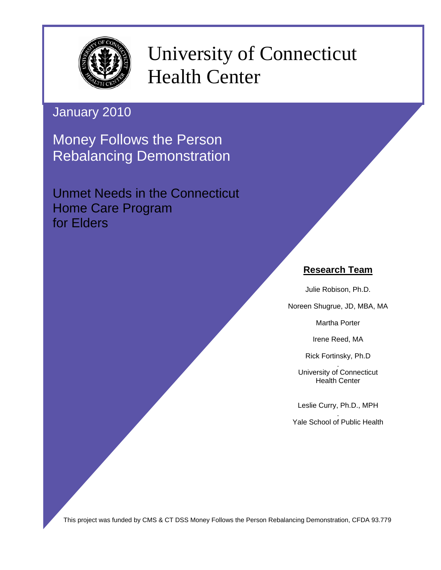

University of Connecticut Health Center

January 2010

Money Follows the Person Rebalancing Demonstration

Unmet Needs in the Connecticut Home Care Program for Elders

# **Research Team**

Julie Robison, Ph.D.

Noreen Shugrue, JD, MBA, MA

Martha Porter

Irene Reed, MA

Rick Fortinsky, Ph.D

. University of Connecticut Health Center

Leslie Curry, Ph.D., MPH

. Yale School of Public Health

This project was funded by CMS & CT DSS Money Follows the Person Rebalancing Demonstration, CFDA 93.779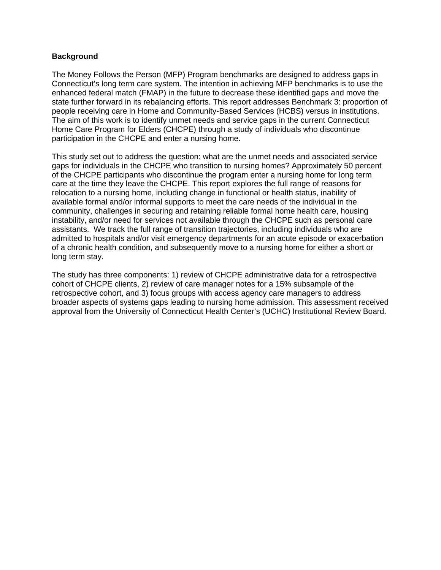#### **Background**

The Money Follows the Person (MFP) Program benchmarks are designed to address gaps in Connecticut's long term care system. The intention in achieving MFP benchmarks is to use the enhanced federal match (FMAP) in the future to decrease these identified gaps and move the state further forward in its rebalancing efforts. This report addresses Benchmark 3: proportion of people receiving care in Home and Community-Based Services (HCBS) versus in institutions. The aim of this work is to identify unmet needs and service gaps in the current Connecticut Home Care Program for Elders (CHCPE) through a study of individuals who discontinue participation in the CHCPE and enter a nursing home.

This study set out to address the question: what are the unmet needs and associated service gaps for individuals in the CHCPE who transition to nursing homes? Approximately 50 percent of the CHCPE participants who discontinue the program enter a nursing home for long term care at the time they leave the CHCPE. This report explores the full range of reasons for relocation to a nursing home, including change in functional or health status, inability of available formal and/or informal supports to meet the care needs of the individual in the community, challenges in securing and retaining reliable formal home health care, housing instability, and/or need for services not available through the CHCPE such as personal care assistants. We track the full range of transition trajectories, including individuals who are admitted to hospitals and/or visit emergency departments for an acute episode or exacerbation of a chronic health condition, and subsequently move to a nursing home for either a short or long term stay.

The study has three components: 1) review of CHCPE administrative data for a retrospective cohort of CHCPE clients, 2) review of care manager notes for a 15% subsample of the retrospective cohort, and 3) focus groups with access agency care managers to address broader aspects of systems gaps leading to nursing home admission. This assessment received approval from the University of Connecticut Health Center's (UCHC) Institutional Review Board.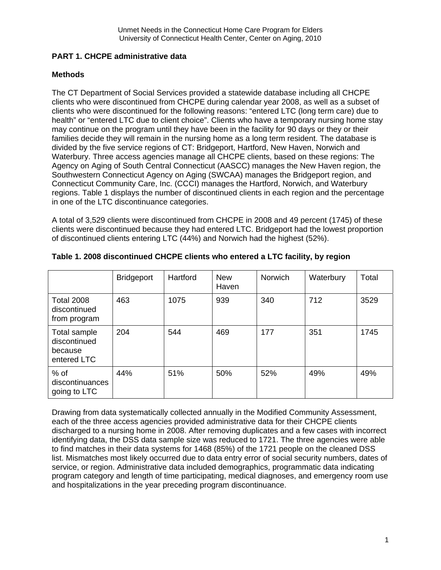## **PART 1. CHCPE administrative data**

### **Methods**

The CT Department of Social Services provided a statewide database including all CHCPE clients who were discontinued from CHCPE during calendar year 2008, as well as a subset of clients who were discontinued for the following reasons: "entered LTC (long term care) due to health" or "entered LTC due to client choice". Clients who have a temporary nursing home stay may continue on the program until they have been in the facility for 90 days or they or their families decide they will remain in the nursing home as a long term resident. The database is divided by the five service regions of CT: Bridgeport, Hartford, New Haven, Norwich and Waterbury. Three access agencies manage all CHCPE clients, based on these regions: The Agency on Aging of South Central Connecticut (AASCC) manages the New Haven region, the Southwestern Connecticut Agency on Aging (SWCAA) manages the Bridgeport region, and Connecticut Community Care, Inc. (CCCI) manages the Hartford, Norwich, and Waterbury regions. Table 1 displays the number of discontinued clients in each region and the percentage in one of the LTC discontinuance categories.

A total of 3,529 clients were discontinued from CHCPE in 2008 and 49 percent (1745) of these clients were discontinued because they had entered LTC. Bridgeport had the lowest proportion of discontinued clients entering LTC (44%) and Norwich had the highest (52%).

|                                                        | <b>Bridgeport</b> | Hartford | <b>New</b><br>Haven | <b>Norwich</b> | Waterbury | Total |
|--------------------------------------------------------|-------------------|----------|---------------------|----------------|-----------|-------|
| <b>Total 2008</b><br>discontinued<br>from program      | 463               | 1075     | 939                 | 340            | 712       | 3529  |
| Total sample<br>discontinued<br>because<br>entered LTC | 204               | 544      | 469                 | 177            | 351       | 1745  |
| $%$ of<br>discontinuances<br>going to LTC              | 44%               | 51%      | 50%                 | 52%            | 49%       | 49%   |

**Table 1. 2008 discontinued CHCPE clients who entered a LTC facility, by region** 

Drawing from data systematically collected annually in the Modified Community Assessment, each of the three access agencies provided administrative data for their CHCPE clients discharged to a nursing home in 2008. After removing duplicates and a few cases with incorrect identifying data, the DSS data sample size was reduced to 1721. The three agencies were able to find matches in their data systems for 1468 (85%) of the 1721 people on the cleaned DSS list. Mismatches most likely occurred due to data entry error of social security numbers, dates of service, or region. Administrative data included demographics, programmatic data indicating program category and length of time participating, medical diagnoses, and emergency room use and hospitalizations in the year preceding program discontinuance.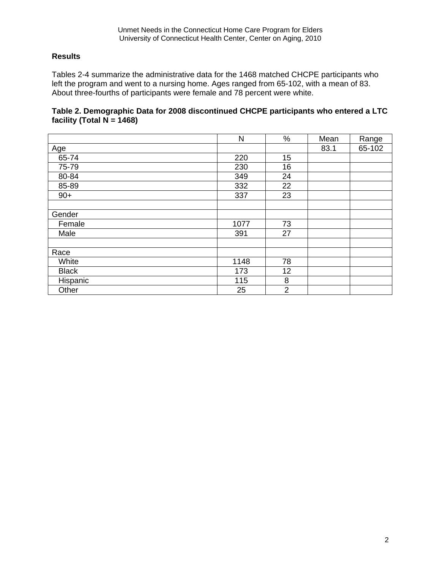## **Results**

Tables 2-4 summarize the administrative data for the 1468 matched CHCPE participants who left the program and went to a nursing home. Ages ranged from 65-102, with a mean of 83. About three-fourths of participants were female and 78 percent were white.

## **Table 2. Demographic Data for 2008 discontinued CHCPE participants who entered a LTC facility (Total N = 1468)**

|              | N    | %              | Mean | Range  |
|--------------|------|----------------|------|--------|
| <u>Age</u>   |      |                | 83.1 | 65-102 |
| 65-74        | 220  | 15             |      |        |
| 75-79        | 230  | 16             |      |        |
| 80-84        | 349  | 24             |      |        |
| 85-89        | 332  | 22             |      |        |
| $90+$        | 337  | 23             |      |        |
|              |      |                |      |        |
| Gender       |      |                |      |        |
| Female       | 1077 | 73             |      |        |
| Male         | 391  | 27             |      |        |
|              |      |                |      |        |
| Race         |      |                |      |        |
| White        | 1148 | 78             |      |        |
| <b>Black</b> | 173  | 12             |      |        |
| Hispanic     | 115  | 8              |      |        |
| Other        | 25   | $\overline{2}$ |      |        |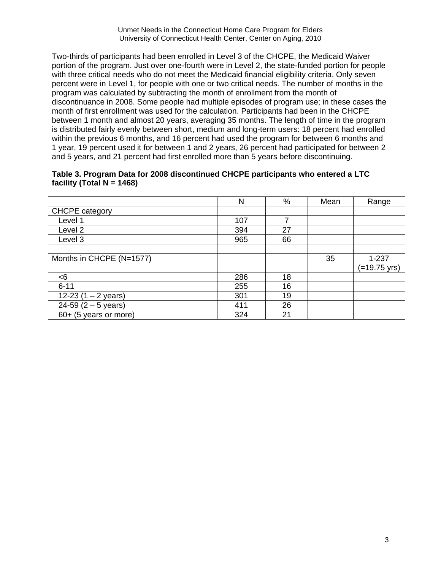Two-thirds of participants had been enrolled in Level 3 of the CHCPE, the Medicaid Waiver portion of the program. Just over one-fourth were in Level 2, the state-funded portion for people with three critical needs who do not meet the Medicaid financial eligibility criteria. Only seven percent were in Level 1, for people with one or two critical needs. The number of months in the program was calculated by subtracting the month of enrollment from the month of discontinuance in 2008. Some people had multiple episodes of program use; in these cases the month of first enrollment was used for the calculation. Participants had been in the CHCPE between 1 month and almost 20 years, averaging 35 months. The length of time in the program is distributed fairly evenly between short, medium and long-term users: 18 percent had enrolled within the previous 6 months, and 16 percent had used the program for between 6 months and 1 year, 19 percent used it for between 1 and 2 years, 26 percent had participated for between 2 and 5 years, and 21 percent had first enrolled more than 5 years before discontinuing.

#### **Table 3. Program Data for 2008 discontinued CHCPE participants who entered a LTC facility (Total N = 1468)**

|                          | N   | %  | Mean | Range        |
|--------------------------|-----|----|------|--------------|
| <b>CHCPE</b> category    |     |    |      |              |
| Level 1                  | 107 | 7  |      |              |
| Level <sub>2</sub>       | 394 | 27 |      |              |
| Level 3                  | 965 | 66 |      |              |
|                          |     |    |      |              |
| Months in CHCPE (N=1577) |     |    | 35   | $1 - 237$    |
|                          |     |    |      | (=19.75 yrs) |
| < 6                      | 286 | 18 |      |              |
| $6 - 11$                 | 255 | 16 |      |              |
| 12-23 $(1 - 2$ years)    | 301 | 19 |      |              |
| $24-59$ (2 – 5 years)    | 411 | 26 |      |              |
| 60+ (5 years or more)    | 324 | 21 |      |              |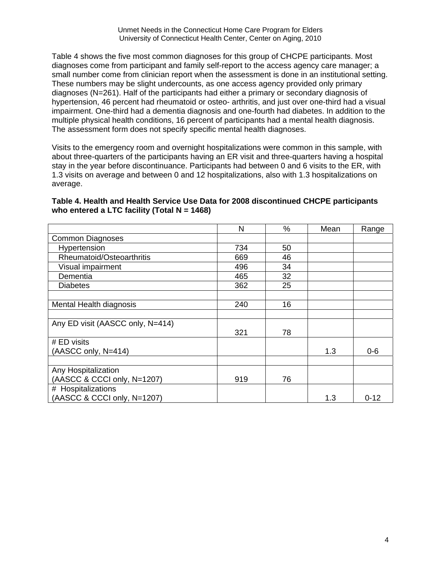Table 4 shows the five most common diagnoses for this group of CHCPE participants. Most diagnoses come from participant and family self-report to the access agency care manager; a small number come from clinician report when the assessment is done in an institutional setting. These numbers may be slight undercounts, as one access agency provided only primary diagnoses (N=261). Half of the participants had either a primary or secondary diagnosis of hypertension, 46 percent had rheumatoid or osteo- arthritis, and just over one-third had a visual impairment. One-third had a dementia diagnosis and one-fourth had diabetes. In addition to the multiple physical health conditions, 16 percent of participants had a mental health diagnosis. The assessment form does not specify specific mental health diagnoses.

Visits to the emergency room and overnight hospitalizations were common in this sample, with about three-quarters of the participants having an ER visit and three-quarters having a hospital stay in the year before discontinuance. Participants had between 0 and 6 visits to the ER, with 1.3 visits on average and between 0 and 12 hospitalizations, also with 1.3 hospitalizations on average.

#### **Table 4. Health and Health Service Use Data for 2008 discontinued CHCPE participants who entered a LTC facility (Total N = 1468)**

|                                  | N   | %  | Mean | Range    |
|----------------------------------|-----|----|------|----------|
| <b>Common Diagnoses</b>          |     |    |      |          |
| Hypertension                     | 734 | 50 |      |          |
| Rheumatoid/Osteoarthritis        | 669 | 46 |      |          |
| Visual impairment                | 496 | 34 |      |          |
| Dementia                         | 465 | 32 |      |          |
| <b>Diabetes</b>                  | 362 | 25 |      |          |
|                                  |     |    |      |          |
| Mental Health diagnosis          | 240 | 16 |      |          |
|                                  |     |    |      |          |
| Any ED visit (AASCC only, N=414) |     |    |      |          |
|                                  | 321 | 78 |      |          |
| # ED visits                      |     |    |      |          |
| (AASCC only, N=414)              |     |    | 1.3  | $0 - 6$  |
|                                  |     |    |      |          |
| Any Hospitalization              |     |    |      |          |
| (AASCC & CCCI only, N=1207)      | 919 | 76 |      |          |
| # Hospitalizations               |     |    |      |          |
| (AASCC & CCCI only, N=1207)      |     |    | 1.3  | $0 - 12$ |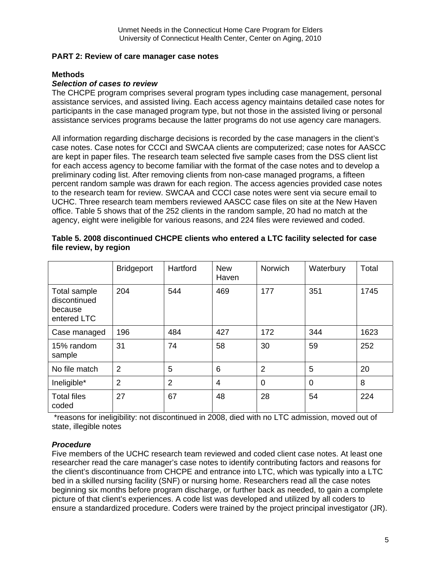#### **PART 2: Review of care manager case notes**

#### **Methods**

### *Selection of cases to review*

The CHCPE program comprises several program types including case management, personal assistance services, and assisted living. Each access agency maintains detailed case notes for participants in the case managed program type, but not those in the assisted living or personal assistance services programs because the latter programs do not use agency care managers.

All information regarding discharge decisions is recorded by the case managers in the client's case notes. Case notes for CCCI and SWCAA clients are computerized; case notes for AASCC are kept in paper files. The research team selected five sample cases from the DSS client list for each access agency to become familiar with the format of the case notes and to develop a preliminary coding list. After removing clients from non-case managed programs, a fifteen percent random sample was drawn for each region. The access agencies provided case notes to the research team for review. SWCAA and CCCI case notes were sent via secure email to UCHC. Three research team members reviewed AASCC case files on site at the New Haven office. Table 5 shows that of the 252 clients in the random sample, 20 had no match at the agency, eight were ineligible for various reasons, and 224 files were reviewed and coded.

|                                                        | <b>Bridgeport</b>                | Hartford | <b>New</b><br>Haven | <b>Norwich</b>      | Waterbury | Total |
|--------------------------------------------------------|----------------------------------|----------|---------------------|---------------------|-----------|-------|
| Total sample<br>discontinued<br>because<br>entered LTC | 204                              | 544      | 469                 | 177                 | 351       | 1745  |
| Case managed                                           | 196<br>484                       |          | 427                 | 172                 | 344       | 1623  |
| 15% random<br>sample                                   | 31                               | 74       | 58                  | 30                  | 59        | 252   |
| No file match                                          | $\overline{2}$                   | 5        | 6                   | $\overline{2}$<br>5 |           | 20    |
| Ineligible*                                            | $\overline{2}$<br>$\overline{2}$ |          | $\overline{4}$      | $\overline{0}$      | 0         | 8     |
| <b>Total files</b><br>coded                            | 27                               | 67       | 48                  | 28                  | 54        | 224   |

#### **Table 5. 2008 discontinued CHCPE clients who entered a LTC facility selected for case file review, by region**

 \*reasons for ineligibility: not discontinued in 2008, died with no LTC admission, moved out of state, illegible notes

### *Procedure*

Five members of the UCHC research team reviewed and coded client case notes. At least one researcher read the care manager's case notes to identify contributing factors and reasons for the client's discontinuance from CHCPE and entrance into LTC, which was typically into a LTC bed in a skilled nursing facility (SNF) or nursing home. Researchers read all the case notes beginning six months before program discharge, or further back as needed, to gain a complete picture of that client's experiences. A code list was developed and utilized by all coders to ensure a standardized procedure. Coders were trained by the project principal investigator (JR).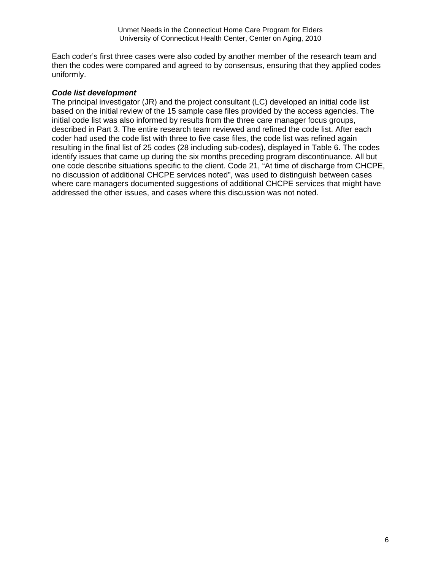Each coder's first three cases were also coded by another member of the research team and then the codes were compared and agreed to by consensus, ensuring that they applied codes uniformly.

#### *Code list development*

The principal investigator (JR) and the project consultant (LC) developed an initial code list based on the initial review of the 15 sample case files provided by the access agencies. The initial code list was also informed by results from the three care manager focus groups, described in Part 3. The entire research team reviewed and refined the code list. After each coder had used the code list with three to five case files, the code list was refined again resulting in the final list of 25 codes (28 including sub-codes), displayed in Table 6. The codes identify issues that came up during the six months preceding program discontinuance. All but one code describe situations specific to the client. Code 21, "At time of discharge from CHCPE, no discussion of additional CHCPE services noted", was used to distinguish between cases where care managers documented suggestions of additional CHCPE services that might have addressed the other issues, and cases where this discussion was not noted.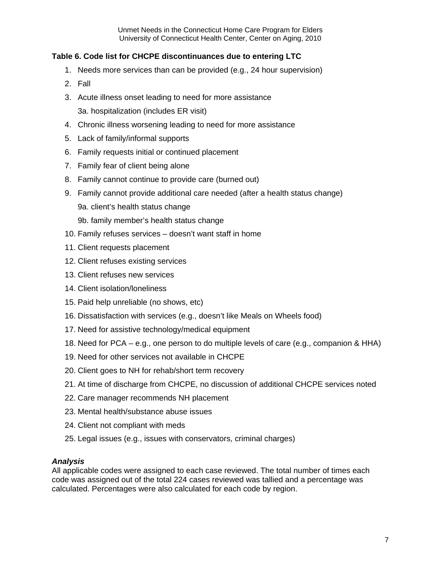## **Table 6. Code list for CHCPE discontinuances due to entering LTC**

- 1. Needs more services than can be provided (e.g., 24 hour supervision)
- 2. Fall
- 3. Acute illness onset leading to need for more assistance 3a. hospitalization (includes ER visit)
- 4. Chronic illness worsening leading to need for more assistance
- 5. Lack of family/informal supports
- 6. Family requests initial or continued placement
- 7. Family fear of client being alone
- 8. Family cannot continue to provide care (burned out)
- 9. Family cannot provide additional care needed (after a health status change) 9a. client's health status change
	- 9b. family member's health status change
- 10. Family refuses services doesn't want staff in home
- 11. Client requests placement
- 12. Client refuses existing services
- 13. Client refuses new services
- 14. Client isolation/loneliness
- 15. Paid help unreliable (no shows, etc)
- 16. Dissatisfaction with services (e.g., doesn't like Meals on Wheels food)
- 17. Need for assistive technology/medical equipment
- 18. Need for PCA e.g., one person to do multiple levels of care (e.g., companion & HHA)
- 19. Need for other services not available in CHCPE
- 20. Client goes to NH for rehab/short term recovery
- 21. At time of discharge from CHCPE, no discussion of additional CHCPE services noted
- 22. Care manager recommends NH placement
- 23. Mental health/substance abuse issues
- 24. Client not compliant with meds
- 25. Legal issues (e.g., issues with conservators, criminal charges)

### *Analysis*

All applicable codes were assigned to each case reviewed. The total number of times each code was assigned out of the total 224 cases reviewed was tallied and a percentage was calculated. Percentages were also calculated for each code by region.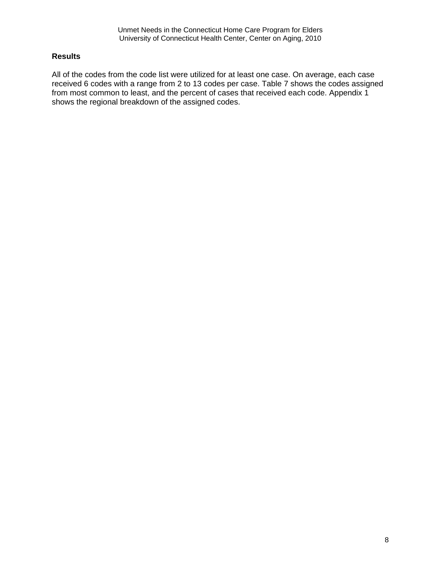### **Results**

All of the codes from the code list were utilized for at least one case. On average, each case received 6 codes with a range from 2 to 13 codes per case. Table 7 shows the codes assigned from most common to least, and the percent of cases that received each code. Appendix 1 shows the regional breakdown of the assigned codes.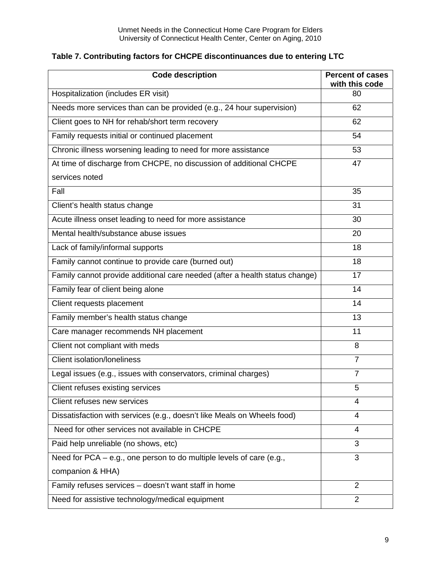|  |  |  |  | Table 7. Contributing factors for CHCPE discontinuances due to entering LTC |  |  |
|--|--|--|--|-----------------------------------------------------------------------------|--|--|
|--|--|--|--|-----------------------------------------------------------------------------|--|--|

| <b>Code description</b>                                                     | <b>Percent of cases</b><br>with this code |
|-----------------------------------------------------------------------------|-------------------------------------------|
| Hospitalization (includes ER visit)                                         | 80                                        |
| Needs more services than can be provided (e.g., 24 hour supervision)        | 62                                        |
| Client goes to NH for rehab/short term recovery                             | 62                                        |
| Family requests initial or continued placement                              | 54                                        |
| Chronic illness worsening leading to need for more assistance               | 53                                        |
| At time of discharge from CHCPE, no discussion of additional CHCPE          | 47                                        |
| services noted                                                              |                                           |
| Fall                                                                        | 35                                        |
| Client's health status change                                               | 31                                        |
| Acute illness onset leading to need for more assistance                     | 30                                        |
| Mental health/substance abuse issues                                        | 20                                        |
| Lack of family/informal supports                                            | 18                                        |
| Family cannot continue to provide care (burned out)                         | 18                                        |
| Family cannot provide additional care needed (after a health status change) | 17                                        |
| Family fear of client being alone                                           | 14                                        |
| Client requests placement                                                   | 14                                        |
| Family member's health status change                                        | 13                                        |
| Care manager recommends NH placement                                        | 11                                        |
| Client not compliant with meds                                              | 8                                         |
| <b>Client isolation/loneliness</b>                                          | $\overline{7}$                            |
| Legal issues (e.g., issues with conservators, criminal charges)             | $\overline{7}$                            |
| Client refuses existing services                                            | 5                                         |
| Client refuses new services                                                 | 4                                         |
| Dissatisfaction with services (e.g., doesn't like Meals on Wheels food)     | 4                                         |
| Need for other services not available in CHCPE                              | $\overline{4}$                            |
| Paid help unreliable (no shows, etc)                                        | 3                                         |
| Need for PCA - e.g., one person to do multiple levels of care (e.g.,        | 3                                         |
| companion & HHA)                                                            |                                           |
| Family refuses services - doesn't want staff in home                        | $\overline{2}$                            |
| Need for assistive technology/medical equipment                             | $\overline{2}$                            |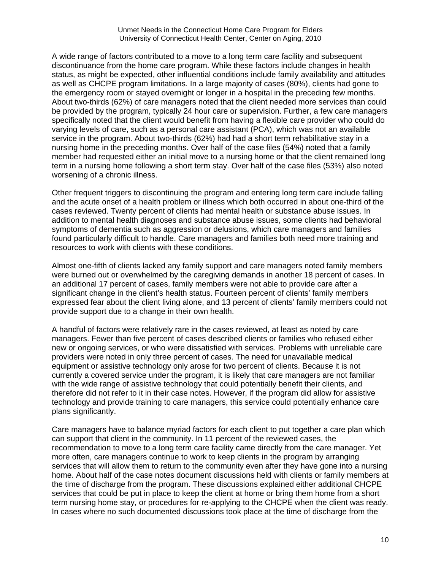A wide range of factors contributed to a move to a long term care facility and subsequent discontinuance from the home care program. While these factors include changes in health status, as might be expected, other influential conditions include family availability and attitudes as well as CHCPE program limitations. In a large majority of cases (80%), clients had gone to the emergency room or stayed overnight or longer in a hospital in the preceding few months. About two-thirds (62%) of care managers noted that the client needed more services than could be provided by the program, typically 24 hour care or supervision. Further, a few care managers specifically noted that the client would benefit from having a flexible care provider who could do varying levels of care, such as a personal care assistant (PCA), which was not an available service in the program. About two-thirds (62%) had had a short term rehabilitative stay in a nursing home in the preceding months. Over half of the case files (54%) noted that a family member had requested either an initial move to a nursing home or that the client remained long term in a nursing home following a short term stay. Over half of the case files (53%) also noted worsening of a chronic illness.

Other frequent triggers to discontinuing the program and entering long term care include falling and the acute onset of a health problem or illness which both occurred in about one-third of the cases reviewed. Twenty percent of clients had mental health or substance abuse issues. In addition to mental health diagnoses and substance abuse issues, some clients had behavioral symptoms of dementia such as aggression or delusions, which care managers and families found particularly difficult to handle. Care managers and families both need more training and resources to work with clients with these conditions.

Almost one-fifth of clients lacked any family support and care managers noted family members were burned out or overwhelmed by the caregiving demands in another 18 percent of cases. In an additional 17 percent of cases, family members were not able to provide care after a significant change in the client's health status. Fourteen percent of clients' family members expressed fear about the client living alone, and 13 percent of clients' family members could not provide support due to a change in their own health.

A handful of factors were relatively rare in the cases reviewed, at least as noted by care managers. Fewer than five percent of cases described clients or families who refused either new or ongoing services, or who were dissatisfied with services. Problems with unreliable care providers were noted in only three percent of cases. The need for unavailable medical equipment or assistive technology only arose for two percent of clients. Because it is not currently a covered service under the program, it is likely that care managers are not familiar with the wide range of assistive technology that could potentially benefit their clients, and therefore did not refer to it in their case notes. However, if the program did allow for assistive technology and provide training to care managers, this service could potentially enhance care plans significantly.

Care managers have to balance myriad factors for each client to put together a care plan which can support that client in the community. In 11 percent of the reviewed cases, the recommendation to move to a long term care facility came directly from the care manager. Yet more often, care managers continue to work to keep clients in the program by arranging services that will allow them to return to the community even after they have gone into a nursing home. About half of the case notes document discussions held with clients or family members at the time of discharge from the program. These discussions explained either additional CHCPE services that could be put in place to keep the client at home or bring them home from a short term nursing home stay, or procedures for re-applying to the CHCPE when the client was ready. In cases where no such documented discussions took place at the time of discharge from the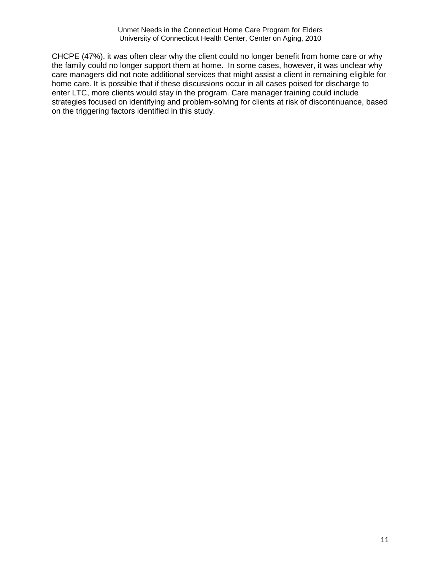CHCPE (47%), it was often clear why the client could no longer benefit from home care or why the family could no longer support them at home. In some cases, however, it was unclear why care managers did not note additional services that might assist a client in remaining eligible for home care. It is possible that if these discussions occur in all cases poised for discharge to enter LTC, more clients would stay in the program. Care manager training could include strategies focused on identifying and problem-solving for clients at risk of discontinuance, based on the triggering factors identified in this study.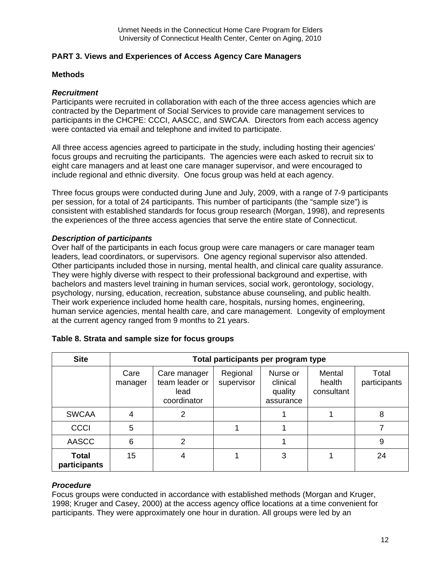### **PART 3. Views and Experiences of Access Agency Care Managers**

### **Methods**

#### *Recruitment*

Participants were recruited in collaboration with each of the three access agencies which are contracted by the Department of Social Services to provide care management services to participants in the CHCPE: CCCI, AASCC, and SWCAA. Directors from each access agency were contacted via email and telephone and invited to participate.

All three access agencies agreed to participate in the study, including hosting their agencies' focus groups and recruiting the participants. The agencies were each asked to recruit six to eight care managers and at least one care manager supervisor, and were encouraged to include regional and ethnic diversity. One focus group was held at each agency.

Three focus groups were conducted during June and July, 2009, with a range of 7-9 participants per session, for a total of 24 participants. This number of participants (the "sample size") is consistent with established standards for focus group research (Morgan, 1998), and represents the experiences of the three access agencies that serve the entire state of Connecticut.

#### *Description of participants*

Over half of the participants in each focus group were care managers or care manager team leaders, lead coordinators, or supervisors. One agency regional supervisor also attended. Other participants included those in nursing, mental health, and clinical care quality assurance. They were highly diverse with respect to their professional background and expertise, with bachelors and masters level training in human services, social work, gerontology, sociology, psychology, nursing, education, recreation, substance abuse counseling, and public health. Their work experience included home health care, hospitals, nursing homes, engineering, human service agencies, mental health care, and care management. Longevity of employment at the current agency ranged from 9 months to 21 years.

| <b>Site</b>                  |                 |                                                       |                        | Total participants per program type          |                                |                       |
|------------------------------|-----------------|-------------------------------------------------------|------------------------|----------------------------------------------|--------------------------------|-----------------------|
|                              | Care<br>manager | Care manager<br>team leader or<br>lead<br>coordinator | Regional<br>supervisor | Nurse or<br>clinical<br>quality<br>assurance | Mental<br>health<br>consultant | Total<br>participants |
| <b>SWCAA</b>                 | 4               | 2                                                     |                        |                                              |                                | 8                     |
| <b>CCCI</b>                  | 5               |                                                       |                        |                                              |                                |                       |
| <b>AASCC</b>                 | 6               | 2                                                     |                        |                                              |                                | 9                     |
| <b>Total</b><br>participants | 15              |                                                       |                        | 3                                            |                                | 24                    |

### **Table 8. Strata and sample size for focus groups**

### *Procedure*

Focus groups were conducted in accordance with established methods (Morgan and Kruger, 1998; Kruger and Casey, 2000) at the access agency office locations at a time convenient for participants. They were approximately one hour in duration. All groups were led by an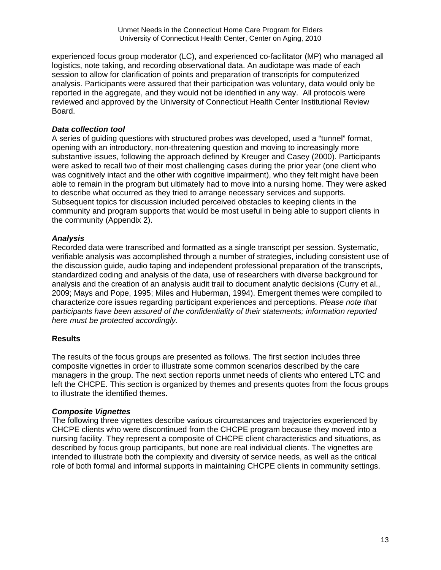experienced focus group moderator (LC), and experienced co-facilitator (MP) who managed all logistics, note taking, and recording observational data. An audiotape was made of each session to allow for clarification of points and preparation of transcripts for computerized analysis. Participants were assured that their participation was voluntary, data would only be reported in the aggregate, and they would not be identified in any way. All protocols were reviewed and approved by the University of Connecticut Health Center Institutional Review Board.

## *Data collection tool*

A series of guiding questions with structured probes was developed, used a "tunnel" format, opening with an introductory, non-threatening question and moving to increasingly more substantive issues, following the approach defined by Kreuger and Casey (2000). Participants were asked to recall two of their most challenging cases during the prior year (one client who was cognitively intact and the other with cognitive impairment), who they felt might have been able to remain in the program but ultimately had to move into a nursing home. They were asked to describe what occurred as they tried to arrange necessary services and supports. Subsequent topics for discussion included perceived obstacles to keeping clients in the community and program supports that would be most useful in being able to support clients in the community (Appendix 2).

### *Analysis*

Recorded data were transcribed and formatted as a single transcript per session. Systematic, verifiable analysis was accomplished through a number of strategies, including consistent use of the discussion guide, audio taping and independent professional preparation of the transcripts, standardized coding and analysis of the data, use of researchers with diverse background for analysis and the creation of an analysis audit trail to document analytic decisions (Curry et al., 2009; Mays and Pope, 1995; Miles and Huberman, 1994). Emergent themes were compiled to characterize core issues regarding participant experiences and perceptions. *Please note that participants have been assured of the confidentiality of their statements; information reported here must be protected accordingly.*

## **Results**

The results of the focus groups are presented as follows. The first section includes three composite vignettes in order to illustrate some common scenarios described by the care managers in the group. The next section reports unmet needs of clients who entered LTC and left the CHCPE. This section is organized by themes and presents quotes from the focus groups to illustrate the identified themes.

### *Composite Vignettes*

The following three vignettes describe various circumstances and trajectories experienced by CHCPE clients who were discontinued from the CHCPE program because they moved into a nursing facility. They represent a composite of CHCPE client characteristics and situations, as described by focus group participants, but none are real individual clients. The vignettes are intended to illustrate both the complexity and diversity of service needs, as well as the critical role of both formal and informal supports in maintaining CHCPE clients in community settings.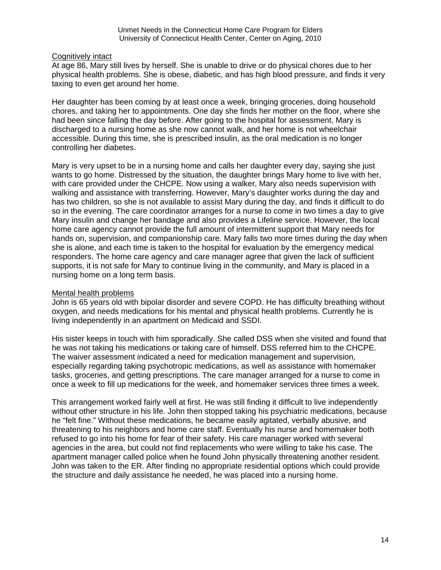#### Cognitively intact

At age 86, Mary still lives by herself. She is unable to drive or do physical chores due to her physical health problems. She is obese, diabetic, and has high blood pressure, and finds it very taxing to even get around her home.

Her daughter has been coming by at least once a week, bringing groceries, doing household chores, and taking her to appointments. One day she finds her mother on the floor, where she had been since falling the day before. After going to the hospital for assessment, Mary is discharged to a nursing home as she now cannot walk, and her home is not wheelchair accessible. During this time, she is prescribed insulin, as the oral medication is no longer controlling her diabetes.

Mary is very upset to be in a nursing home and calls her daughter every day, saying she just wants to go home. Distressed by the situation, the daughter brings Mary home to live with her, with care provided under the CHCPE. Now using a walker, Mary also needs supervision with walking and assistance with transferring. However, Mary's daughter works during the day and has two children, so she is not available to assist Mary during the day, and finds it difficult to do so in the evening. The care coordinator arranges for a nurse to come in two times a day to give Mary insulin and change her bandage and also provides a Lifeline service. However, the local home care agency cannot provide the full amount of intermittent support that Mary needs for hands on, supervision, and companionship care. Mary falls two more times during the day when she is alone, and each time is taken to the hospital for evaluation by the emergency medical responders. The home care agency and care manager agree that given the lack of sufficient supports, it is not safe for Mary to continue living in the community, and Mary is placed in a nursing home on a long term basis.

### Mental health problems

John is 65 years old with bipolar disorder and severe COPD. He has difficulty breathing without oxygen, and needs medications for his mental and physical health problems. Currently he is living independently in an apartment on Medicaid and SSDI.

His sister keeps in touch with him sporadically. She called DSS when she visited and found that he was not taking his medications or taking care of himself. DSS referred him to the CHCPE. The waiver assessment indicated a need for medication management and supervision, especially regarding taking psychotropic medications, as well as assistance with homemaker tasks, groceries, and getting prescriptions. The care manager arranged for a nurse to come in once a week to fill up medications for the week, and homemaker services three times a week.

This arrangement worked fairly well at first. He was still finding it difficult to live independently without other structure in his life. John then stopped taking his psychiatric medications, because he "felt fine." Without these medications, he became easily agitated, verbally abusive, and threatening to his neighbors and home care staff. Eventually his nurse and homemaker both refused to go into his home for fear of their safety. His care manager worked with several agencies in the area, but could not find replacements who were willing to take his case. The apartment manager called police when he found John physically threatening another resident. John was taken to the ER. After finding no appropriate residential options which could provide the structure and daily assistance he needed, he was placed into a nursing home.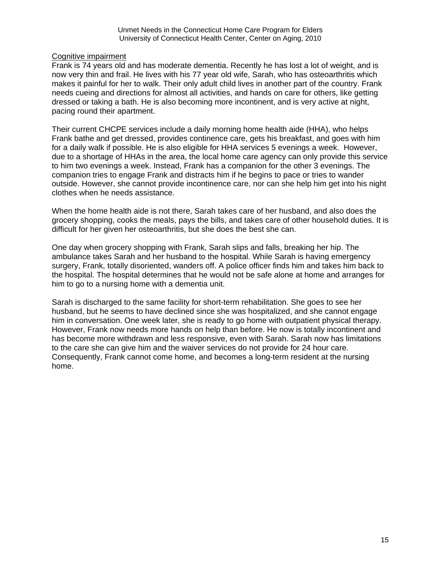### Cognitive impairment

Frank is 74 years old and has moderate dementia. Recently he has lost a lot of weight, and is now very thin and frail. He lives with his 77 year old wife, Sarah, who has osteoarthritis which makes it painful for her to walk. Their only adult child lives in another part of the country. Frank needs cueing and directions for almost all activities, and hands on care for others, like getting dressed or taking a bath. He is also becoming more incontinent, and is very active at night, pacing round their apartment.

Their current CHCPE services include a daily morning home health aide (HHA), who helps Frank bathe and get dressed, provides continence care, gets his breakfast, and goes with him for a daily walk if possible. He is also eligible for HHA services 5 evenings a week. However, due to a shortage of HHAs in the area, the local home care agency can only provide this service to him two evenings a week. Instead, Frank has a companion for the other 3 evenings. The companion tries to engage Frank and distracts him if he begins to pace or tries to wander outside. However, she cannot provide incontinence care, nor can she help him get into his night clothes when he needs assistance.

When the home health aide is not there, Sarah takes care of her husband, and also does the grocery shopping, cooks the meals, pays the bills, and takes care of other household duties. It is difficult for her given her osteoarthritis, but she does the best she can.

One day when grocery shopping with Frank, Sarah slips and falls, breaking her hip. The ambulance takes Sarah and her husband to the hospital. While Sarah is having emergency surgery, Frank, totally disoriented, wanders off. A police officer finds him and takes him back to the hospital. The hospital determines that he would not be safe alone at home and arranges for him to go to a nursing home with a dementia unit.

Sarah is discharged to the same facility for short-term rehabilitation. She goes to see her husband, but he seems to have declined since she was hospitalized, and she cannot engage him in conversation. One week later, she is ready to go home with outpatient physical therapy. However, Frank now needs more hands on help than before. He now is totally incontinent and has become more withdrawn and less responsive, even with Sarah. Sarah now has limitations to the care she can give him and the waiver services do not provide for 24 hour care. Consequently, Frank cannot come home, and becomes a long-term resident at the nursing home.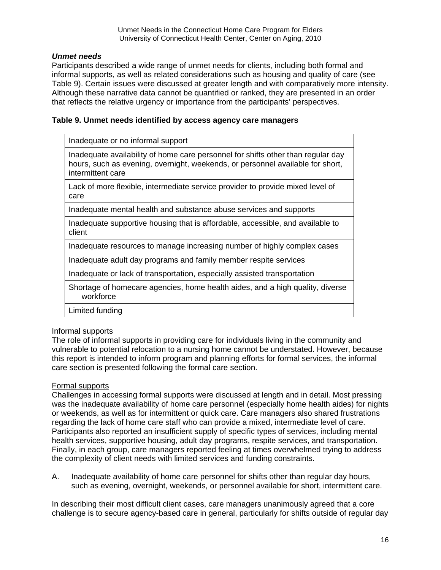### *Unmet needs*

Participants described a wide range of unmet needs for clients, including both formal and informal supports, as well as related considerations such as housing and quality of care (see Table 9). Certain issues were discussed at greater length and with comparatively more intensity. Although these narrative data cannot be quantified or ranked, they are presented in an order that reflects the relative urgency or importance from the participants' perspectives.

#### **Table 9. Unmet needs identified by access agency care managers**

Inadequate or no informal support

Inadequate availability of home care personnel for shifts other than regular day hours, such as evening, overnight, weekends, or personnel available for short, intermittent care

Lack of more flexible, intermediate service provider to provide mixed level of care

Inadequate mental health and substance abuse services and supports

Inadequate supportive housing that is affordable, accessible, and available to client

Inadequate resources to manage increasing number of highly complex cases

Inadequate adult day programs and family member respite services

Inadequate or lack of transportation, especially assisted transportation

Shortage of homecare agencies, home health aides, and a high quality, diverse workforce

Limited funding

### Informal supports

The role of informal supports in providing care for individuals living in the community and vulnerable to potential relocation to a nursing home cannot be understated. However, because this report is intended to inform program and planning efforts for formal services, the informal care section is presented following the formal care section.

### Formal supports

Challenges in accessing formal supports were discussed at length and in detail. Most pressing was the inadequate availability of home care personnel (especially home health aides) for nights or weekends, as well as for intermittent or quick care. Care managers also shared frustrations regarding the lack of home care staff who can provide a mixed, intermediate level of care. Participants also reported an insufficient supply of specific types of services, including mental health services, supportive housing, adult day programs, respite services, and transportation. Finally, in each group, care managers reported feeling at times overwhelmed trying to address the complexity of client needs with limited services and funding constraints.

A. Inadequate availability of home care personnel for shifts other than regular day hours, such as evening, overnight, weekends, or personnel available for short, intermittent care.

In describing their most difficult client cases, care managers unanimously agreed that a core challenge is to secure agency-based care in general, particularly for shifts outside of regular day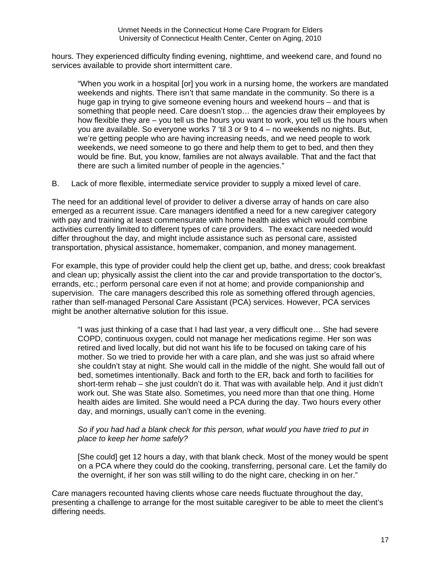hours. They experienced difficulty finding evening, nighttime, and weekend care, and found no services available to provide short intermittent care.

"When you work in a hospital [or] you work in a nursing home, the workers are mandated weekends and nights. There isn't that same mandate in the community. So there is a huge gap in trying to give someone evening hours and weekend hours – and that is something that people need. Care doesn't stop… the agencies draw their employees by how flexible they are – you tell us the hours you want to work, you tell us the hours when you are available. So everyone works 7 'til 3 or 9 to 4 – no weekends no nights. But, we're getting people who are having increasing needs, and we need people to work weekends, we need someone to go there and help them to get to bed, and then they would be fine. But, you know, families are not always available. That and the fact that there are such a limited number of people in the agencies."

B. Lack of more flexible, intermediate service provider to supply a mixed level of care.

The need for an additional level of provider to deliver a diverse array of hands on care also emerged as a recurrent issue. Care managers identified a need for a new caregiver category with pay and training at least commensurate with home health aides which would combine activities currently limited to different types of care providers. The exact care needed would differ throughout the day, and might include assistance such as personal care, assisted transportation, physical assistance, homemaker, companion, and money management.

For example, this type of provider could help the client get up, bathe, and dress; cook breakfast and clean up; physically assist the client into the car and provide transportation to the doctor's, errands, etc.; perform personal care even if not at home; and provide companionship and supervision. The care managers described this role as something offered through agencies, rather than self-managed Personal Care Assistant (PCA) services. However, PCA services might be another alternative solution for this issue.

"I was just thinking of a case that I had last year, a very difficult one… She had severe COPD, continuous oxygen, could not manage her medications regime. Her son was retired and lived locally, but did not want his life to be focused on taking care of his mother. So we tried to provide her with a care plan, and she was just so afraid where she couldn't stay at night. She would call in the middle of the night. She would fall out of bed, sometimes intentionally. Back and forth to the ER, back and forth to facilities for short-term rehab – she just couldn't do it. That was with available help. And it just didn't work out. She was State also. Sometimes, you need more than that one thing. Home health aides are limited. She would need a PCA during the day. Two hours every other day, and mornings, usually can't come in the evening.

### *So if you had had a blank check for this person, what would you have tried to put in place to keep her home safely?*

[She could] get 12 hours a day, with that blank check. Most of the money would be spent on a PCA where they could do the cooking, transferring, personal care. Let the family do the overnight, if her son was still willing to do the night care, checking in on her."

Care managers recounted having clients whose care needs fluctuate throughout the day, presenting a challenge to arrange for the most suitable caregiver to be able to meet the client's differing needs.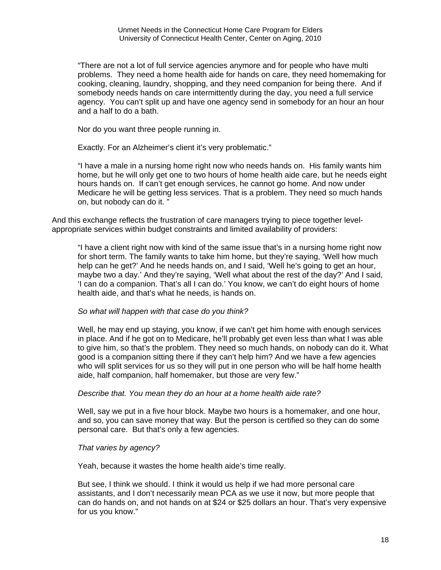"There are not a lot of full service agencies anymore and for people who have multi problems. They need a home health aide for hands on care, they need homemaking for cooking, cleaning, laundry, shopping, and they need companion for being there. And if somebody needs hands on care intermittently during the day, you need a full service agency. You can't split up and have one agency send in somebody for an hour an hour and a half to do a bath.

Nor do you want three people running in.

Exactly. For an Alzheimer's client it's very problematic."

"I have a male in a nursing home right now who needs hands on. His family wants him home, but he will only get one to two hours of home health aide care, but he needs eight hours hands on. If can't get enough services, he cannot go home. And now under Medicare he will be getting less services. That is a problem. They need so much hands on, but nobody can do it. "

And this exchange reflects the frustration of care managers trying to piece together levelappropriate services within budget constraints and limited availability of providers:

"I have a client right now with kind of the same issue that's in a nursing home right now for short term. The family wants to take him home, but they're saying, 'Well how much help can he get?' And he needs hands on, and I said, 'Well he's going to get an hour, maybe two a day.' And they're saying, 'Well what about the rest of the day?' And I said, 'I can do a companion. That's all I can do.' You know, we can't do eight hours of home health aide, and that's what he needs, is hands on.

### *So what will happen with that case do you think?*

Well, he may end up staying, you know, if we can't get him home with enough services in place. And if he got on to Medicare, he'll probably get even less than what I was able to give him, so that's the problem. They need so much hands, on nobody can do it. What good is a companion sitting there if they can't help him? And we have a few agencies who will split services for us so they will put in one person who will be half home health aide, half companion, half homemaker, but those are very few."

#### *Describe that. You mean they do an hour at a home health aide rate?*

Well, say we put in a five hour block. Maybe two hours is a homemaker, and one hour, and so, you can save money that way. But the person is certified so they can do some personal care. But that's only a few agencies.

#### *That varies by agency?*

Yeah, because it wastes the home health aide's time really.

But see, I think we should. I think it would us help if we had more personal care assistants, and I don't necessarily mean PCA as we use it now, but more people that can do hands on, and not hands on at \$24 or \$25 dollars an hour. That's very expensive for us you know."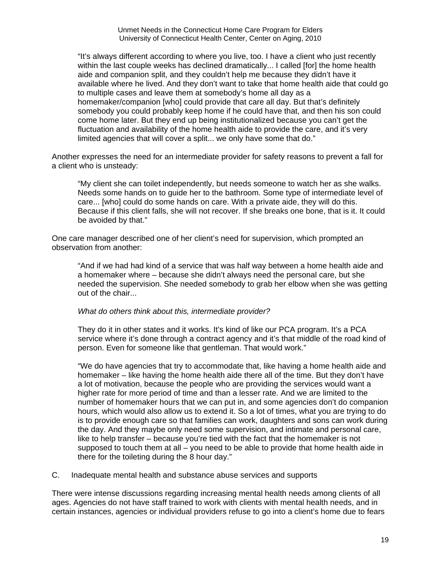"It's always different according to where you live, too. I have a client who just recently within the last couple weeks has declined dramatically... I called [for] the home health aide and companion split, and they couldn't help me because they didn't have it available where he lived. And they don't want to take that home health aide that could go to multiple cases and leave them at somebody's home all day as a homemaker/companion [who] could provide that care all day. But that's definitely somebody you could probably keep home if he could have that, and then his son could come home later. But they end up being institutionalized because you can't get the fluctuation and availability of the home health aide to provide the care, and it's very limited agencies that will cover a split... we only have some that do."

Another expresses the need for an intermediate provider for safety reasons to prevent a fall for a client who is unsteady:

"My client she can toilet independently, but needs someone to watch her as she walks. Needs some hands on to guide her to the bathroom. Some type of intermediate level of care... [who] could do some hands on care. With a private aide, they will do this. Because if this client falls, she will not recover. If she breaks one bone, that is it. It could be avoided by that."

One care manager described one of her client's need for supervision, which prompted an observation from another:

"And if we had had kind of a service that was half way between a home health aide and a homemaker where – because she didn't always need the personal care, but she needed the supervision. She needed somebody to grab her elbow when she was getting out of the chair...

#### *What do others think about this, intermediate provider?*

They do it in other states and it works. It's kind of like our PCA program. It's a PCA service where it's done through a contract agency and it's that middle of the road kind of person. Even for someone like that gentleman. That would work."

"We do have agencies that try to accommodate that, like having a home health aide and homemaker – like having the home health aide there all of the time. But they don't have a lot of motivation, because the people who are providing the services would want a higher rate for more period of time and than a lesser rate. And we are limited to the number of homemaker hours that we can put in, and some agencies don't do companion hours, which would also allow us to extend it. So a lot of times, what you are trying to do is to provide enough care so that families can work, daughters and sons can work during the day. And they maybe only need some supervision, and intimate and personal care, like to help transfer – because you're tied with the fact that the homemaker is not supposed to touch them at all – you need to be able to provide that home health aide in there for the toileting during the 8 hour day."

C. Inadequate mental health and substance abuse services and supports

There were intense discussions regarding increasing mental health needs among clients of all ages. Agencies do not have staff trained to work with clients with mental health needs, and in certain instances, agencies or individual providers refuse to go into a client's home due to fears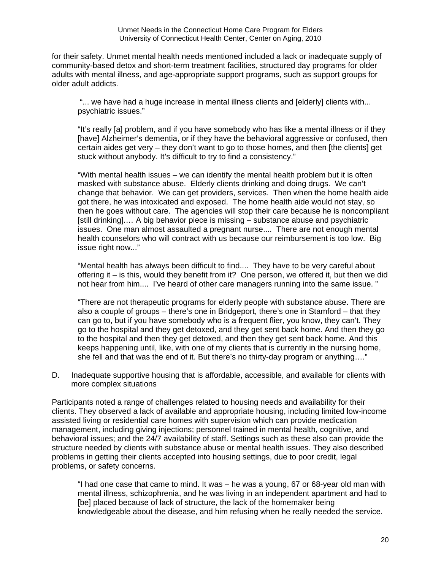for their safety. Unmet mental health needs mentioned included a lack or inadequate supply of community-based detox and short-term treatment facilities, structured day programs for older adults with mental illness, and age-appropriate support programs, such as support groups for older adult addicts.

"... we have had a huge increase in mental illness clients and [elderly] clients with... psychiatric issues."

"It's really [a] problem, and if you have somebody who has like a mental illness or if they [have] Alzheimer's dementia, or if they have the behavioral aggressive or confused, then certain aides get very – they don't want to go to those homes, and then [the clients] get stuck without anybody. It's difficult to try to find a consistency."

"With mental health issues – we can identify the mental health problem but it is often masked with substance abuse. Elderly clients drinking and doing drugs. We can't change that behavior. We can get providers, services. Then when the home health aide got there, he was intoxicated and exposed. The home health aide would not stay, so then he goes without care. The agencies will stop their care because he is noncompliant [still drinking].… A big behavior piece is missing – substance abuse and psychiatric issues. One man almost assaulted a pregnant nurse.... There are not enough mental health counselors who will contract with us because our reimbursement is too low. Big issue right now..."

"Mental health has always been difficult to find.... They have to be very careful about offering it – is this, would they benefit from it? One person, we offered it, but then we did not hear from him.... I've heard of other care managers running into the same issue. "

"There are not therapeutic programs for elderly people with substance abuse. There are also a couple of groups – there's one in Bridgeport, there's one in Stamford – that they can go to, but if you have somebody who is a frequent flier, you know, they can't. They go to the hospital and they get detoxed, and they get sent back home. And then they go to the hospital and then they get detoxed, and then they get sent back home. And this keeps happening until, like, with one of my clients that is currently in the nursing home, she fell and that was the end of it. But there's no thirty-day program or anything…."

D. Inadequate supportive housing that is affordable, accessible, and available for clients with more complex situations

Participants noted a range of challenges related to housing needs and availability for their clients. They observed a lack of available and appropriate housing, including limited low-income assisted living or residential care homes with supervision which can provide medication management, including giving injections; personnel trained in mental health, cognitive, and behavioral issues; and the 24/7 availability of staff. Settings such as these also can provide the structure needed by clients with substance abuse or mental health issues. They also described problems in getting their clients accepted into housing settings, due to poor credit, legal problems, or safety concerns.

"I had one case that came to mind. It was – he was a young, 67 or 68-year old man with mental illness, schizophrenia, and he was living in an independent apartment and had to [be] placed because of lack of structure, the lack of the homemaker being knowledgeable about the disease, and him refusing when he really needed the service.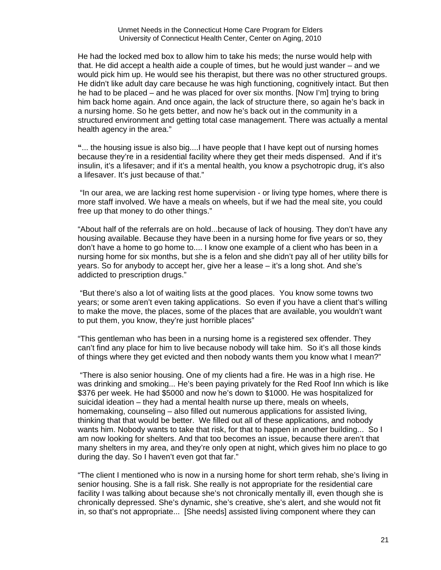He had the locked med box to allow him to take his meds; the nurse would help with that. He did accept a health aide a couple of times, but he would just wander – and we would pick him up. He would see his therapist, but there was no other structured groups. He didn't like adult day care because he was high functioning, cognitively intact. But then he had to be placed – and he was placed for over six months. [Now I'm] trying to bring him back home again. And once again, the lack of structure there, so again he's back in a nursing home. So he gets better, and now he's back out in the community in a structured environment and getting total case management. There was actually a mental health agency in the area."

**"**... the housing issue is also big....I have people that I have kept out of nursing homes because they're in a residential facility where they get their meds dispensed. And if it's insulin, it's a lifesaver; and if it's a mental health, you know a psychotropic drug, it's also a lifesaver. It's just because of that."

 "In our area, we are lacking rest home supervision - or living type homes, where there is more staff involved. We have a meals on wheels, but if we had the meal site, you could free up that money to do other things."

"About half of the referrals are on hold...because of lack of housing. They don't have any housing available. Because they have been in a nursing home for five years or so, they don't have a home to go home to.... I know one example of a client who has been in a nursing home for six months, but she is a felon and she didn't pay all of her utility bills for years. So for anybody to accept her, give her a lease – it's a long shot. And she's addicted to prescription drugs."

 "But there's also a lot of waiting lists at the good places. You know some towns two years; or some aren't even taking applications. So even if you have a client that's willing to make the move, the places, some of the places that are available, you wouldn't want to put them, you know, they're just horrible places"

"This gentleman who has been in a nursing home is a registered sex offender. They can't find any place for him to live because nobody will take him. So it's all those kinds of things where they get evicted and then nobody wants them you know what I mean?"

 "There is also senior housing. One of my clients had a fire. He was in a high rise. He was drinking and smoking... He's been paying privately for the Red Roof Inn which is like \$376 per week. He had \$5000 and now he's down to \$1000. He was hospitalized for suicidal ideation – they had a mental health nurse up there, meals on wheels, homemaking, counseling – also filled out numerous applications for assisted living, thinking that that would be better. We filled out all of these applications, and nobody wants him. Nobody wants to take that risk, for that to happen in another building... So I am now looking for shelters. And that too becomes an issue, because there aren't that many shelters in my area, and they're only open at night, which gives him no place to go during the day. So I haven't even got that far."

"The client I mentioned who is now in a nursing home for short term rehab, she's living in senior housing. She is a fall risk. She really is not appropriate for the residential care facility I was talking about because she's not chronically mentally ill, even though she is chronically depressed. She's dynamic, she's creative, she's alert, and she would not fit in, so that's not appropriate... [She needs] assisted living component where they can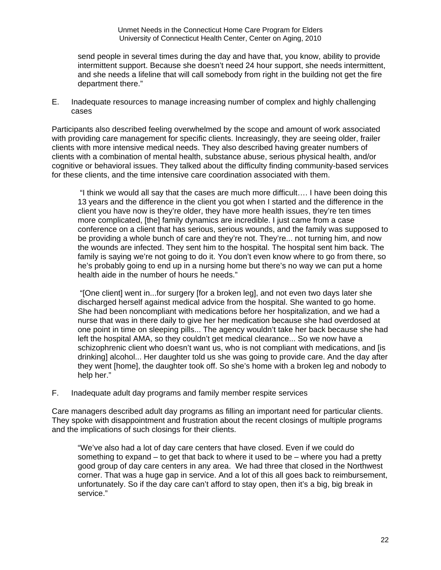send people in several times during the day and have that, you know, ability to provide intermittent support. Because she doesn't need 24 hour support, she needs intermittent, and she needs a lifeline that will call somebody from right in the building not get the fire department there."

E. Inadequate resources to manage increasing number of complex and highly challenging cases

Participants also described feeling overwhelmed by the scope and amount of work associated with providing care management for specific clients. Increasingly, they are seeing older, frailer clients with more intensive medical needs. They also described having greater numbers of clients with a combination of mental health, substance abuse, serious physical health, and/or cognitive or behavioral issues. They talked about the difficulty finding community-based services for these clients, and the time intensive care coordination associated with them.

 "I think we would all say that the cases are much more difficult…. I have been doing this 13 years and the difference in the client you got when I started and the difference in the client you have now is they're older, they have more health issues, they're ten times more complicated, [the] family dynamics are incredible. I just came from a case conference on a client that has serious, serious wounds, and the family was supposed to be providing a whole bunch of care and they're not. They're... not turning him, and now the wounds are infected. They sent him to the hospital. The hospital sent him back. The family is saying we're not going to do it. You don't even know where to go from there, so he's probably going to end up in a nursing home but there's no way we can put a home health aide in the number of hours he needs."

 "[One client] went in...for surgery [for a broken leg], and not even two days later she discharged herself against medical advice from the hospital. She wanted to go home. She had been noncompliant with medications before her hospitalization, and we had a nurse that was in there daily to give her her medication because she had overdosed at one point in time on sleeping pills... The agency wouldn't take her back because she had left the hospital AMA, so they couldn't get medical clearance... So we now have a schizophrenic client who doesn't want us, who is not compliant with medications, and [is drinking] alcohol... Her daughter told us she was going to provide care. And the day after they went [home], the daughter took off. So she's home with a broken leg and nobody to help her."

F. Inadequate adult day programs and family member respite services

Care managers described adult day programs as filling an important need for particular clients. They spoke with disappointment and frustration about the recent closings of multiple programs and the implications of such closings for their clients.

"We've also had a lot of day care centers that have closed. Even if we could do something to expand – to get that back to where it used to be – where you had a pretty good group of day care centers in any area. We had three that closed in the Northwest corner. That was a huge gap in service. And a lot of this all goes back to reimbursement, unfortunately. So if the day care can't afford to stay open, then it's a big, big break in service."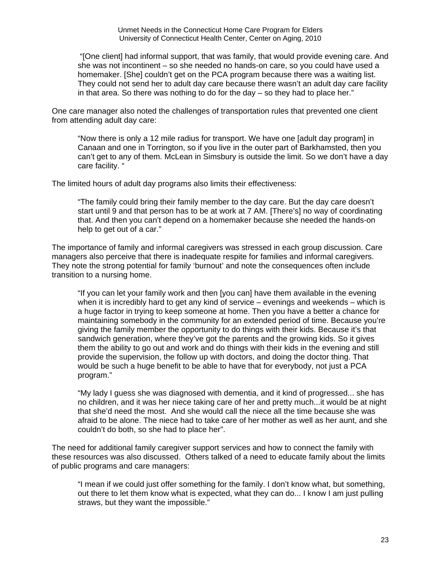"[One client] had informal support, that was family, that would provide evening care. And she was not incontinent – so she needed no hands-on care, so you could have used a homemaker. [She] couldn't get on the PCA program because there was a waiting list. They could not send her to adult day care because there wasn't an adult day care facility in that area. So there was nothing to do for the day – so they had to place her."

One care manager also noted the challenges of transportation rules that prevented one client from attending adult day care:

"Now there is only a 12 mile radius for transport. We have one [adult day program] in Canaan and one in Torrington, so if you live in the outer part of Barkhamsted, then you can't get to any of them. McLean in Simsbury is outside the limit. So we don't have a day care facility. "

The limited hours of adult day programs also limits their effectiveness:

"The family could bring their family member to the day care. But the day care doesn't start until 9 and that person has to be at work at 7 AM. [There's] no way of coordinating that. And then you can't depend on a homemaker because she needed the hands-on help to get out of a car."

The importance of family and informal caregivers was stressed in each group discussion. Care managers also perceive that there is inadequate respite for families and informal caregivers. They note the strong potential for family 'burnout' and note the consequences often include transition to a nursing home.

"If you can let your family work and then [you can] have them available in the evening when it is incredibly hard to get any kind of service – evenings and weekends – which is a huge factor in trying to keep someone at home. Then you have a better a chance for maintaining somebody in the community for an extended period of time. Because you're giving the family member the opportunity to do things with their kids. Because it's that sandwich generation, where they've got the parents and the growing kids. So it gives them the ability to go out and work and do things with their kids in the evening and still provide the supervision, the follow up with doctors, and doing the doctor thing. That would be such a huge benefit to be able to have that for everybody, not just a PCA program."

"My lady I guess she was diagnosed with dementia, and it kind of progressed... she has no children, and it was her niece taking care of her and pretty much...it would be at night that she'd need the most. And she would call the niece all the time because she was afraid to be alone. The niece had to take care of her mother as well as her aunt, and she couldn't do both, so she had to place her".

The need for additional family caregiver support services and how to connect the family with these resources was also discussed. Others talked of a need to educate family about the limits of public programs and care managers:

"I mean if we could just offer something for the family. I don't know what, but something, out there to let them know what is expected, what they can do... I know I am just pulling straws, but they want the impossible."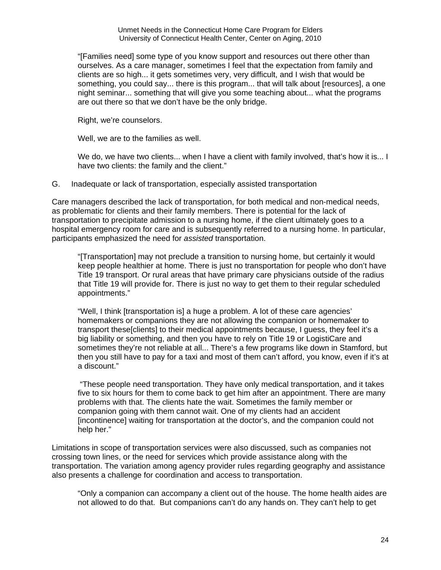"[Families need] some type of you know support and resources out there other than ourselves. As a care manager, sometimes I feel that the expectation from family and clients are so high... it gets sometimes very, very difficult, and I wish that would be something, you could say... there is this program... that will talk about [resources], a one night seminar... something that will give you some teaching about... what the programs are out there so that we don't have be the only bridge.

Right, we're counselors.

Well, we are to the families as well.

We do, we have two clients... when I have a client with family involved, that's how it is... I have two clients: the family and the client."

G. Inadequate or lack of transportation, especially assisted transportation

Care managers described the lack of transportation, for both medical and non-medical needs, as problematic for clients and their family members. There is potential for the lack of transportation to precipitate admission to a nursing home, if the client ultimately goes to a hospital emergency room for care and is subsequently referred to a nursing home. In particular, participants emphasized the need for *assisted* transportation.

"[Transportation] may not preclude a transition to nursing home, but certainly it would keep people healthier at home. There is just no transportation for people who don't have Title 19 transport. Or rural areas that have primary care physicians outside of the radius that Title 19 will provide for. There is just no way to get them to their regular scheduled appointments."

"Well, I think [transportation is] a huge a problem. A lot of these care agencies' homemakers or companions they are not allowing the companion or homemaker to transport these[clients] to their medical appointments because, I guess, they feel it's a big liability or something, and then you have to rely on Title 19 or LogistiCare and sometimes they're not reliable at all... There's a few programs like down in Stamford, but then you still have to pay for a taxi and most of them can't afford, you know, even if it's at a discount."

 "These people need transportation. They have only medical transportation, and it takes five to six hours for them to come back to get him after an appointment. There are many problems with that. The clients hate the wait. Sometimes the family member or companion going with them cannot wait. One of my clients had an accident [incontinence] waiting for transportation at the doctor's, and the companion could not help her."

Limitations in scope of transportation services were also discussed, such as companies not crossing town lines, or the need for services which provide assistance along with the transportation. The variation among agency provider rules regarding geography and assistance also presents a challenge for coordination and access to transportation.

"Only a companion can accompany a client out of the house. The home health aides are not allowed to do that. But companions can't do any hands on. They can't help to get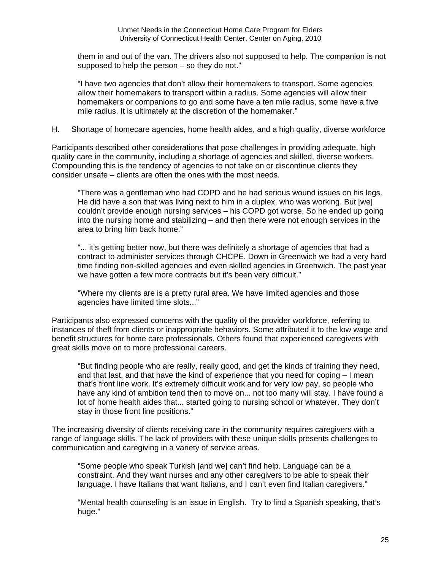them in and out of the van. The drivers also not supposed to help. The companion is not supposed to help the person – so they do not."

"I have two agencies that don't allow their homemakers to transport. Some agencies allow their homemakers to transport within a radius. Some agencies will allow their homemakers or companions to go and some have a ten mile radius, some have a five mile radius. It is ultimately at the discretion of the homemaker."

H. Shortage of homecare agencies, home health aides, and a high quality, diverse workforce

Participants described other considerations that pose challenges in providing adequate, high quality care in the community, including a shortage of agencies and skilled, diverse workers. Compounding this is the tendency of agencies to not take on or discontinue clients they consider unsafe – clients are often the ones with the most needs.

"There was a gentleman who had COPD and he had serious wound issues on his legs. He did have a son that was living next to him in a duplex, who was working. But [we] couldn't provide enough nursing services – his COPD got worse. So he ended up going into the nursing home and stabilizing – and then there were not enough services in the area to bring him back home."

"... it's getting better now, but there was definitely a shortage of agencies that had a contract to administer services through CHCPE. Down in Greenwich we had a very hard time finding non-skilled agencies and even skilled agencies in Greenwich. The past year we have gotten a few more contracts but it's been very difficult."

"Where my clients are is a pretty rural area. We have limited agencies and those agencies have limited time slots..."

Participants also expressed concerns with the quality of the provider workforce, referring to instances of theft from clients or inappropriate behaviors. Some attributed it to the low wage and benefit structures for home care professionals. Others found that experienced caregivers with great skills move on to more professional careers.

"But finding people who are really, really good, and get the kinds of training they need, and that last, and that have the kind of experience that you need for coping – I mean that's front line work. It's extremely difficult work and for very low pay, so people who have any kind of ambition tend then to move on... not too many will stay. I have found a lot of home health aides that... started going to nursing school or whatever. They don't stay in those front line positions."

The increasing diversity of clients receiving care in the community requires caregivers with a range of language skills. The lack of providers with these unique skills presents challenges to communication and caregiving in a variety of service areas.

"Some people who speak Turkish [and we] can't find help. Language can be a constraint. And they want nurses and any other caregivers to be able to speak their language. I have Italians that want Italians, and I can't even find Italian caregivers."

"Mental health counseling is an issue in English. Try to find a Spanish speaking, that's huge."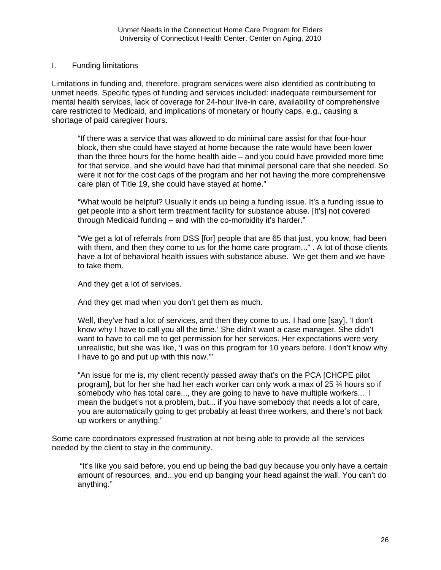#### I. Funding limitations

Limitations in funding and, therefore, program services were also identified as contributing to unmet needs. Specific types of funding and services included: inadequate reimbursement for mental health services, lack of coverage for 24-hour live-in care, availability of comprehensive care restricted to Medicaid, and implications of monetary or hourly caps, e.g., causing a shortage of paid caregiver hours.

"If there was a service that was allowed to do minimal care assist for that four-hour block, then she could have stayed at home because the rate would have been lower than the three hours for the home health aide – and you could have provided more time for that service, and she would have had that minimal personal care that she needed. So were it not for the cost caps of the program and her not having the more comprehensive care plan of Title 19, she could have stayed at home."

"What would be helpful? Usually it ends up being a funding issue. It's a funding issue to get people into a short term treatment facility for substance abuse. [It's] not covered through Medicaid funding – and with the co-morbidity it's harder."

"We get a lot of referrals from DSS [for] people that are 65 that just, you know, had been with them, and then they come to us for the home care program..." . A lot of those clients have a lot of behavioral health issues with substance abuse. We get them and we have to take them.

And they get a lot of services.

And they get mad when you don't get them as much.

Well, they've had a lot of services, and then they come to us. I had one [say], 'I don't know why I have to call you all the time.' She didn't want a case manager. She didn't want to have to call me to get permission for her services. Her expectations were very unrealistic, but she was like, 'I was on this program for 10 years before. I don't know why I have to go and put up with this now.'"

"An issue for me is, my client recently passed away that's on the PCA [CHCPE pilot program], but for her she had her each worker can only work a max of 25 ¾ hours so if somebody who has total care..., they are going to have to have multiple workers... I mean the budget's not a problem, but... if you have somebody that needs a lot of care, you are automatically going to get probably at least three workers, and there's not back up workers or anything."

Some care coordinators expressed frustration at not being able to provide all the services needed by the client to stay in the community.

 "It's like you said before, you end up being the bad guy because you only have a certain amount of resources, and...you end up banging your head against the wall. You can't do anything."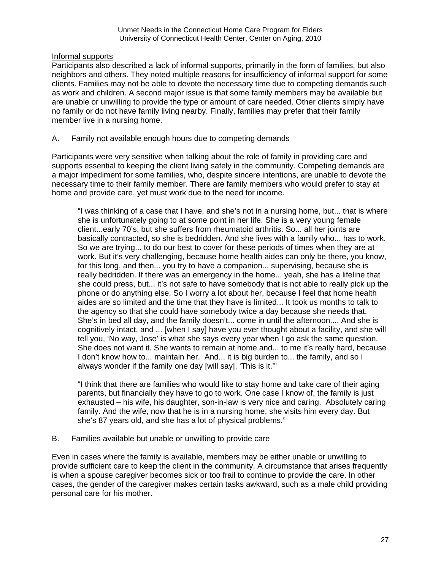Informal supports

Participants also described a lack of informal supports, primarily in the form of families, but also neighbors and others. They noted multiple reasons for insufficiency of informal support for some clients. Families may not be able to devote the necessary time due to competing demands such as work and children. A second major issue is that some family members may be available but are unable or unwilling to provide the type or amount of care needed. Other clients simply have no family or do not have family living nearby. Finally, families may prefer that their family member live in a nursing home.

A. Family not available enough hours due to competing demands

Participants were very sensitive when talking about the role of family in providing care and supports essential to keeping the client living safely in the community. Competing demands are a major impediment for some families, who, despite sincere intentions, are unable to devote the necessary time to their family member. There are family members who would prefer to stay at home and provide care, yet must work due to the need for income.

"I was thinking of a case that I have, and she's not in a nursing home, but... that is where she is unfortunately going to at some point in her life. She is a very young female client...early 70's, but she suffers from rheumatoid arthritis. So... all her joints are basically contracted, so she is bedridden. And she lives with a family who... has to work. So we are trying... to do our best to cover for these periods of times when they are at work. But it's very challenging, because home health aides can only be there, you know, for this long, and then... you try to have a companion... supervising, because she is really bedridden. If there was an emergency in the home... yeah, she has a lifeline that she could press, but... it's not safe to have somebody that is not able to really pick up the phone or do anything else. So I worry a lot about her, because I feel that home health aides are so limited and the time that they have is limited... It took us months to talk to the agency so that she could have somebody twice a day because she needs that. She's in bed all day, and the family doesn't... come in until the afternoon.... And she is cognitively intact, and ... [when I say] have you ever thought about a facility, and she will tell you, 'No way, Jose' is what she says every year when I go ask the same question. She does not want it. She wants to remain at home and... to me it's really hard, because I don't know how to... maintain her. And... it is big burden to... the family, and so I always wonder if the family one day [will say], 'This is it.'"

"I think that there are families who would like to stay home and take care of their aging parents, but financially they have to go to work. One case I know of, the family is just exhausted – his wife, his daughter, son-in-law is very nice and caring. Absolutely caring family. And the wife, now that he is in a nursing home, she visits him every day. But she's 87 years old, and she has a lot of physical problems."

B. Families available but unable or unwilling to provide care

Even in cases where the family is available, members may be either unable or unwilling to provide sufficient care to keep the client in the community. A circumstance that arises frequently is when a spouse caregiver becomes sick or too frail to continue to provide the care. In other cases, the gender of the caregiver makes certain tasks awkward, such as a male child providing personal care for his mother.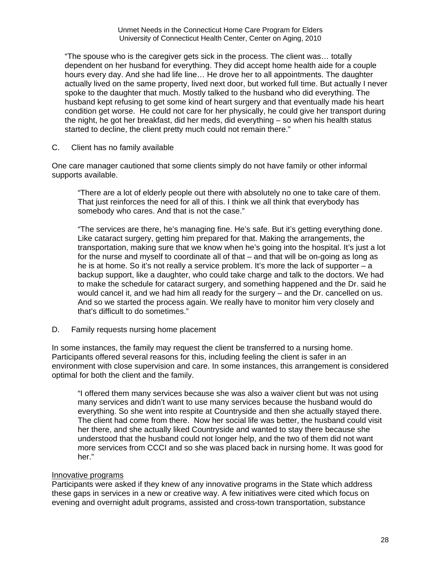"The spouse who is the caregiver gets sick in the process. The client was… totally dependent on her husband for everything. They did accept home health aide for a couple hours every day. And she had life line… He drove her to all appointments. The daughter actually lived on the same property, lived next door, but worked full time. But actually I never spoke to the daughter that much. Mostly talked to the husband who did everything. The husband kept refusing to get some kind of heart surgery and that eventually made his heart condition get worse. He could not care for her physically, he could give her transport during the night, he got her breakfast, did her meds, did everything – so when his health status started to decline, the client pretty much could not remain there."

C. Client has no family available

One care manager cautioned that some clients simply do not have family or other informal supports available.

"There are a lot of elderly people out there with absolutely no one to take care of them. That just reinforces the need for all of this. I think we all think that everybody has somebody who cares. And that is not the case."

"The services are there, he's managing fine. He's safe. But it's getting everything done. Like cataract surgery, getting him prepared for that. Making the arrangements, the transportation, making sure that we know when he's going into the hospital. It's just a lot for the nurse and myself to coordinate all of that – and that will be on-going as long as he is at home. So it's not really a service problem. It's more the lack of supporter – a backup support, like a daughter, who could take charge and talk to the doctors. We had to make the schedule for cataract surgery, and something happened and the Dr. said he would cancel it, and we had him all ready for the surgery – and the Dr. cancelled on us. And so we started the process again. We really have to monitor him very closely and that's difficult to do sometimes."

D. Family requests nursing home placement

In some instances, the family may request the client be transferred to a nursing home. Participants offered several reasons for this, including feeling the client is safer in an environment with close supervision and care. In some instances, this arrangement is considered optimal for both the client and the family.

"I offered them many services because she was also a waiver client but was not using many services and didn't want to use many services because the husband would do everything. So she went into respite at Countryside and then she actually stayed there. The client had come from there. Now her social life was better, the husband could visit her there, and she actually liked Countryside and wanted to stay there because she understood that the husband could not longer help, and the two of them did not want more services from CCCI and so she was placed back in nursing home. It was good for her."

### Innovative programs

Participants were asked if they knew of any innovative programs in the State which address these gaps in services in a new or creative way. A few initiatives were cited which focus on evening and overnight adult programs, assisted and cross-town transportation, substance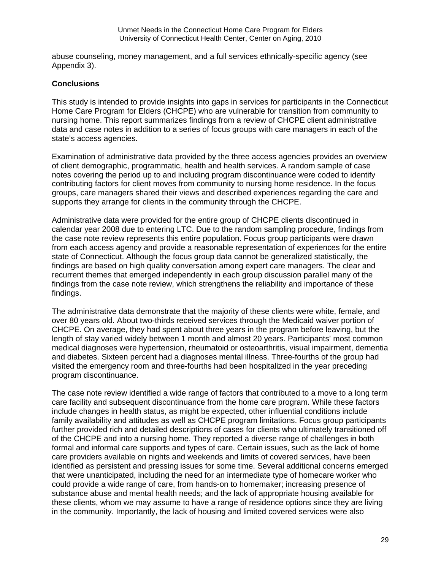abuse counseling, money management, and a full services ethnically-specific agency (see Appendix 3).

## **Conclusions**

This study is intended to provide insights into gaps in services for participants in the Connecticut Home Care Program for Elders (CHCPE) who are vulnerable for transition from community to nursing home. This report summarizes findings from a review of CHCPE client administrative data and case notes in addition to a series of focus groups with care managers in each of the state's access agencies.

Examination of administrative data provided by the three access agencies provides an overview of client demographic, programmatic, health and health services. A random sample of case notes covering the period up to and including program discontinuance were coded to identify contributing factors for client moves from community to nursing home residence. In the focus groups, care managers shared their views and described experiences regarding the care and supports they arrange for clients in the community through the CHCPE.

Administrative data were provided for the entire group of CHCPE clients discontinued in calendar year 2008 due to entering LTC. Due to the random sampling procedure, findings from the case note review represents this entire population. Focus group participants were drawn from each access agency and provide a reasonable representation of experiences for the entire state of Connecticut. Although the focus group data cannot be generalized statistically, the findings are based on high quality conversation among expert care managers. The clear and recurrent themes that emerged independently in each group discussion parallel many of the findings from the case note review, which strengthens the reliability and importance of these findings.

The administrative data demonstrate that the majority of these clients were white, female, and over 80 years old. About two-thirds received services through the Medicaid waiver portion of CHCPE. On average, they had spent about three years in the program before leaving, but the length of stay varied widely between 1 month and almost 20 years. Participants' most common medical diagnoses were hypertension, rheumatoid or osteoarthritis, visual impairment, dementia and diabetes. Sixteen percent had a diagnoses mental illness. Three-fourths of the group had visited the emergency room and three-fourths had been hospitalized in the year preceding program discontinuance.

The case note review identified a wide range of factors that contributed to a move to a long term care facility and subsequent discontinuance from the home care program. While these factors include changes in health status, as might be expected, other influential conditions include family availability and attitudes as well as CHCPE program limitations. Focus group participants further provided rich and detailed descriptions of cases for clients who ultimately transitioned off of the CHCPE and into a nursing home. They reported a diverse range of challenges in both formal and informal care supports and types of care. Certain issues, such as the lack of home care providers available on nights and weekends and limits of covered services, have been identified as persistent and pressing issues for some time. Several additional concerns emerged that were unanticipated, including the need for an intermediate type of homecare worker who could provide a wide range of care, from hands-on to homemaker; increasing presence of substance abuse and mental health needs; and the lack of appropriate housing available for these clients, whom we may assume to have a range of residence options since they are living in the community. Importantly, the lack of housing and limited covered services were also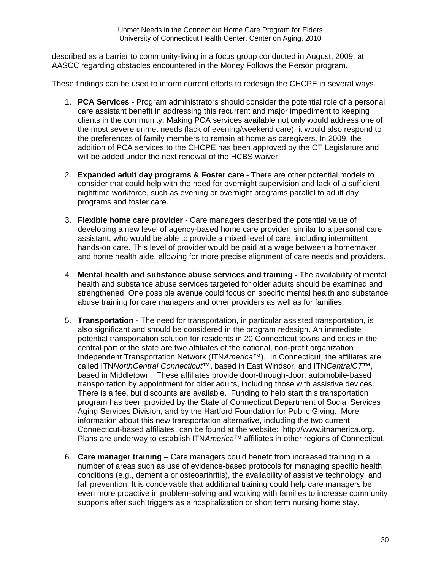described as a barrier to community-living in a focus group conducted in August, 2009, at AASCC regarding obstacles encountered in the Money Follows the Person program.

These findings can be used to inform current efforts to redesign the CHCPE in several ways.

- 1. **PCA Services** Program administrators should consider the potential role of a personal care assistant benefit in addressing this recurrent and major impediment to keeping clients in the community. Making PCA services available not only would address one of the most severe unmet needs (lack of evening/weekend care), it would also respond to the preferences of family members to remain at home as caregivers. In 2009, the addition of PCA services to the CHCPE has been approved by the CT Legislature and will be added under the next renewal of the HCBS waiver.
- 2. **Expanded adult day programs & Foster care** There are other potential models to consider that could help with the need for overnight supervision and lack of a sufficient nighttime workforce, such as evening or overnight programs parallel to adult day programs and foster care.
- 3. **Flexible home care provider** Care managers described the potential value of developing a new level of agency-based home care provider, similar to a personal care assistant, who would be able to provide a mixed level of care, including intermittent hands-on care. This level of provider would be paid at a wage between a homemaker and home health aide, allowing for more precise alignment of care needs and providers.
- 4. **Mental health and substance abuse services and training** The availability of mental health and substance abuse services targeted for older adults should be examined and strengthened. One possible avenue could focus on specific mental health and substance abuse training for care managers and other providers as well as for families.
- 5. **Transportation** The need for transportation, in particular assisted transportation, is also significant and should be considered in the program redesign. An immediate potential transportation solution for residents in 20 Connecticut towns and cities in the central part of the state are two affiliates of the national, non-profit organization Independent Transportation Network (ITN*America*™). In Connecticut, the affiliates are called ITN*NorthCentral Connecticut*™, based in East Windsor, and ITN*CentralCT*™, based in Middletown. These affiliates provide door-through-door, automobile-based transportation by appointment for older adults, including those with assistive devices. There is a fee, but discounts are available. Funding to help start this transportation program has been provided by the State of Connecticut Department of Social Services Aging Services Division, and by the Hartford Foundation for Public Giving. More information about this new transportation alternative, including the two current Connecticut-based affiliates, can be found at the website: [http://www.itnamerica.org.](http://www.itnamerica.org/) Plans are underway to establish ITN*America*™ affiliates in other regions of Connecticut.
- 6. **Care manager training –** Care managers could benefit from increased training in a number of areas such as use of evidence-based protocols for managing specific health conditions (e.g., dementia or osteoarthritis), the availability of assistive technology, and fall prevention. It is conceivable that additional training could help care managers be even more proactive in problem-solving and working with families to increase community supports after such triggers as a hospitalization or short term nursing home stay.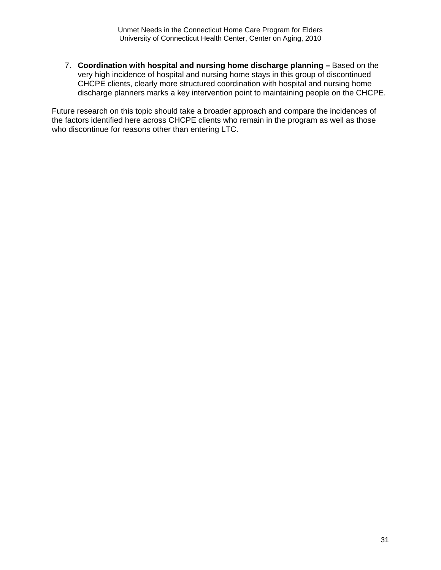7. **Coordination with hospital and nursing home discharge planning –** Based on the very high incidence of hospital and nursing home stays in this group of discontinued CHCPE clients, clearly more structured coordination with hospital and nursing home discharge planners marks a key intervention point to maintaining people on the CHCPE.

Future research on this topic should take a broader approach and compare the incidences of the factors identified here across CHCPE clients who remain in the program as well as those who discontinue for reasons other than entering LTC.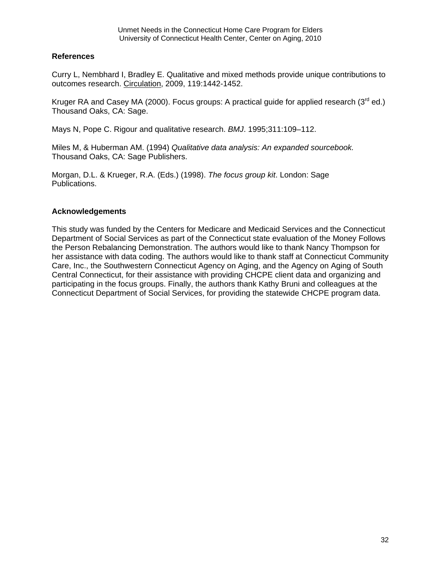### **References**

Curry L, Nembhard I, Bradley E. Qualitative and mixed methods provide unique contributions to outcomes research. Circulation, 2009, 119:1442-1452.

Kruger RA and Casey MA (2000). Focus groups: A practical guide for applied research ( $3<sup>rd</sup>$  ed.) Thousand Oaks, CA: Sage.

Mays N, Pope C. Rigour and qualitative research. *BMJ*. 1995;311:109–112.

Miles M, & Huberman AM. (1994) *Qualitative data analysis: An expanded sourcebook.*  Thousand Oaks, CA: Sage Publishers.

Morgan, D.L. & Krueger, R.A. (Eds.) (1998). *The focus group kit*. London: Sage Publications.

### **Acknowledgements**

This study was funded by the Centers for Medicare and Medicaid Services and the Connecticut Department of Social Services as part of the Connecticut state evaluation of the Money Follows the Person Rebalancing Demonstration. The authors would like to thank Nancy Thompson for her assistance with data coding. The authors would like to thank staff at Connecticut Community Care, Inc., the Southwestern Connecticut Agency on Aging, and the Agency on Aging of South Central Connecticut, for their assistance with providing CHCPE client data and organizing and participating in the focus groups. Finally, the authors thank Kathy Bruni and colleagues at the Connecticut Department of Social Services, for providing the statewide CHCPE program data.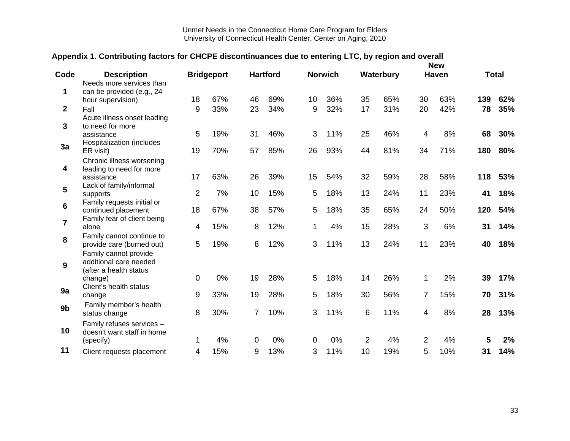## **Appendix 1. Contributing factors for CHCPE discontinuances due to entering LTC, by region and overall**

| Code                    |                                                       |                |                   |              |                 |    |                |    |           |                | <b>New</b>   |     | <b>Total</b> |
|-------------------------|-------------------------------------------------------|----------------|-------------------|--------------|-----------------|----|----------------|----|-----------|----------------|--------------|-----|--------------|
|                         | <b>Description</b><br>Needs more services than        |                | <b>Bridgeport</b> |              | <b>Hartford</b> |    | <b>Norwich</b> |    | Waterbury |                | <b>Haven</b> |     |              |
| 1                       | can be provided (e.g., 24                             |                |                   |              |                 |    |                |    |           |                |              |     |              |
|                         | hour supervision)                                     | 18             | 67%               | 46           | 69%             | 10 | 36%            | 35 | 65%       | 30             | 63%          | 139 | 62%          |
| $\overline{2}$          | Fall                                                  | 9              | 33%               | 23           | 34%             | 9  | 32%            | 17 | 31%       | 20             | 42%          | 78  | 35%          |
|                         | Acute illness onset leading                           |                |                   |              |                 |    |                |    |           |                |              |     |              |
| 3                       | to need for more                                      |                |                   |              |                 |    |                |    |           |                |              |     |              |
|                         | assistance                                            | 5              | 19%               | 31           | 46%             | 3  | 11%            | 25 | 46%       | 4              | 8%           | 68  | 30%          |
| 3a                      | Hospitalization (includes                             | 19             | 70%               | 57           | 85%             | 26 | 93%            | 44 | 81%       | 34             | 71%          | 180 | 80%          |
|                         | ER visit)                                             |                |                   |              |                 |    |                |    |           |                |              |     |              |
| 4                       | Chronic illness worsening<br>leading to need for more |                |                   |              |                 |    |                |    |           |                |              |     |              |
|                         | assistance                                            | 17             | 63%               | 26           | 39%             | 15 | 54%            | 32 | 59%       | 28             | 58%          | 118 | 53%          |
|                         | Lack of family/informal                               |                |                   |              |                 |    |                |    |           |                |              |     |              |
| 5                       | supports                                              | $\overline{2}$ | 7%                | 10           | 15%             | 5  | 18%            | 13 | 24%       | 11             | 23%          | 41  | 18%          |
| 6                       | Family requests initial or                            |                |                   |              |                 |    |                |    |           |                |              |     |              |
|                         | continued placement                                   | 18             | 67%               | 38           | 57%             | 5  | 18%            | 35 | 65%       | 24             | 50%          | 120 | 54%          |
| $\overline{\mathbf{7}}$ | Family fear of client being                           |                |                   |              |                 |    |                |    |           |                |              |     |              |
|                         | alone                                                 | 4              | 15%               | 8            | 12%             | 1  | 4%             | 15 | 28%       | 3              | 6%           | 31  | 14%          |
| 8                       | Family cannot continue to                             |                |                   |              |                 |    |                |    |           |                |              |     |              |
|                         | provide care (burned out)                             | 5              | 19%               | 8            | 12%             | 3  | 11%            | 13 | 24%       | 11             | 23%          | 40  | 18%          |
|                         | Family cannot provide                                 |                |                   |              |                 |    |                |    |           |                |              |     |              |
| 9                       | additional care needed<br>(after a health status      |                |                   |              |                 |    |                |    |           |                |              |     |              |
|                         | change)                                               | $\mathbf 0$    | 0%                | 19           | 28%             | 5  | 18%            | 14 | 26%       | 1              | 2%           | 39  | 17%          |
|                         | Client's health status                                |                |                   |              |                 |    |                |    |           |                |              |     |              |
| 9a                      | change                                                | 9              | 33%               | 19           | 28%             | 5  | 18%            | 30 | 56%       | $\overline{7}$ | 15%          | 70  | 31%          |
| 9b                      | Family member's health                                |                |                   |              |                 |    |                |    |           |                |              |     |              |
|                         | status change                                         | 8              | 30%               | 7            | 10%             | 3  | 11%            | 6  | 11%       | 4              | 8%           | 28  | 13%          |
|                         | Family refuses services -                             |                |                   |              |                 |    |                |    |           |                |              |     |              |
| 10                      | doesn't want staff in home                            |                |                   |              |                 |    |                |    |           |                |              |     |              |
|                         | (specify)                                             | 1              | 4%                | $\mathbf{0}$ | 0%              | 0  | 0%             | 2  | 4%        | $\overline{2}$ | 4%           | 5   | 2%           |
| 11                      | Client requests placement                             | 4              | 15%               | 9            | 13%             | 3  | 11%            | 10 | 19%       | 5              | 10%          | 31  | 14%          |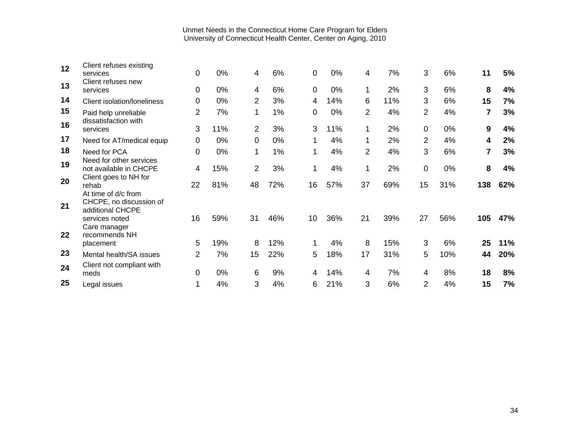| 12<br>13 | Client refuses existing<br>services<br>Client refuses new<br>services                | 0<br>0         | 0%<br>0% | 4<br>4         | 6%<br>6% | 0<br>$\mathbf 0$ | 0%<br>0% | 4<br>1         | 7%<br>2% | 3<br>3         | 6%<br>6% | 11<br>8 | 5%<br>4% |
|----------|--------------------------------------------------------------------------------------|----------------|----------|----------------|----------|------------------|----------|----------------|----------|----------------|----------|---------|----------|
| 14       | Client isolation/loneliness                                                          | $\mathbf 0$    | 0%       | 2              | 3%       | 4                | 14%      | 6              | 11%      | 3              | 6%       | 15      | 7%       |
| 15       | Paid help unreliable                                                                 | $\overline{2}$ | 7%       | 1              | 1%       | 0                | 0%       | $\overline{2}$ | 4%       | $\overline{2}$ | 4%       | 7       | 3%       |
| 16       | dissatisfaction with<br>services                                                     | 3              | 11%      | $\overline{2}$ | 3%       | 3                | 11%      | 1              | 2%       | 0              | 0%       | 9       | 4%       |
| 17       | Need for AT/medical equip                                                            | 0              | $0\%$    | 0              | 0%       |                  | 4%       | 1              | 2%       | 2              | 4%       | 4       | 2%       |
| 18       | Need for PCA                                                                         | 0              | $0\%$    | 1              | 1%       | 1                | 4%       | $\overline{2}$ | 4%       | 3              | 6%       | 7       | 3%       |
| 19       | Need for other services<br>not available in CHCPE                                    | 4              | 15%      | $\overline{2}$ | 3%       | 1                | 4%       | 1              | 2%       | 0              | 0%       | 8       | 4%       |
| 20       | Client goes to NH for<br>rehab                                                       | 22             | 81%      | 48             | 72%      | 16               | 57%      | 37             | 69%      | 15             | 31%      | 138     | 62%      |
| 21       | At time of d/c from<br>CHCPE, no discussion of<br>additional CHCPE<br>services noted | 16             | 59%      | 31             | 46%      | 10               | 36%      | 21             | 39%      | 27             | 56%      | 105     | 47%      |
| 22       | Care manager<br>recommends NH<br>placement                                           | 5              | 19%      | 8              | 12%      |                  | 4%       | 8              | 15%      | 3              | 6%       | 25      | 11%      |
| 23       | Mental health/SA issues                                                              | $\overline{2}$ | 7%       | 15             | 22%      | 5                | 18%      | 17             | 31%      | 5              | 10%      | 44      | 20%      |
| 24       | Client not compliant with<br>meds                                                    | 0              | 0%       | 6              | 9%       | 4                | 14%      | 4              | 7%       | 4              | 8%       | 18      | 8%       |
| 25       | Legal issues                                                                         |                | 4%       | 3              | 4%       | 6                | 21%      | 3              | 6%       | 2              | 4%       | 15      | 7%       |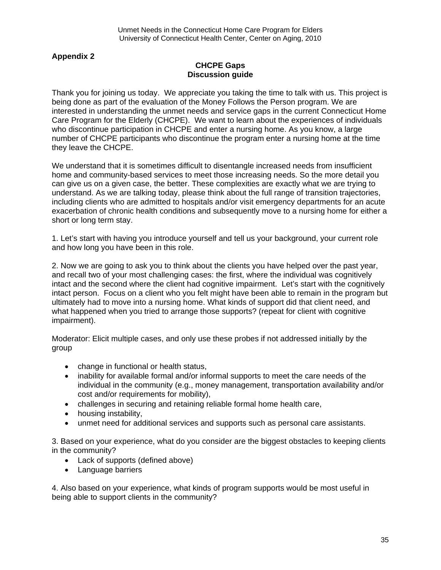## **Appendix 2**

### **CHCPE Gaps Discussion guide**

Thank you for joining us today. We appreciate you taking the time to talk with us. This project is being done as part of the evaluation of the Money Follows the Person program. We are interested in understanding the unmet needs and service gaps in the current Connecticut Home Care Program for the Elderly (CHCPE). We want to learn about the experiences of individuals who discontinue participation in CHCPE and enter a nursing home. As you know, a large number of CHCPE participants who discontinue the program enter a nursing home at the time they leave the CHCPE.

We understand that it is sometimes difficult to disentangle increased needs from insufficient home and community-based services to meet those increasing needs. So the more detail you can give us on a given case, the better. These complexities are exactly what we are trying to understand. As we are talking today, please think about the full range of transition trajectories, including clients who are admitted to hospitals and/or visit emergency departments for an acute exacerbation of chronic health conditions and subsequently move to a nursing home for either a short or long term stay.

1. Let's start with having you introduce yourself and tell us your background, your current role and how long you have been in this role.

2. Now we are going to ask you to think about the clients you have helped over the past year, and recall two of your most challenging cases: the first, where the individual was cognitively intact and the second where the client had cognitive impairment. Let's start with the cognitively intact person. Focus on a client who you felt might have been able to remain in the program but ultimately had to move into a nursing home. What kinds of support did that client need, and what happened when you tried to arrange those supports? (repeat for client with cognitive impairment).

Moderator: Elicit multiple cases, and only use these probes if not addressed initially by the group

- change in functional or health status,
- inability for available formal and/or informal supports to meet the care needs of the individual in the community (e.g., money management, transportation availability and/or cost and/or requirements for mobility),
- challenges in securing and retaining reliable formal home health care,
- housing instability,
- unmet need for additional services and supports such as personal care assistants.

3. Based on your experience, what do you consider are the biggest obstacles to keeping clients in the community?

- Lack of supports (defined above)
- Language barriers

4. Also based on your experience, what kinds of program supports would be most useful in being able to support clients in the community?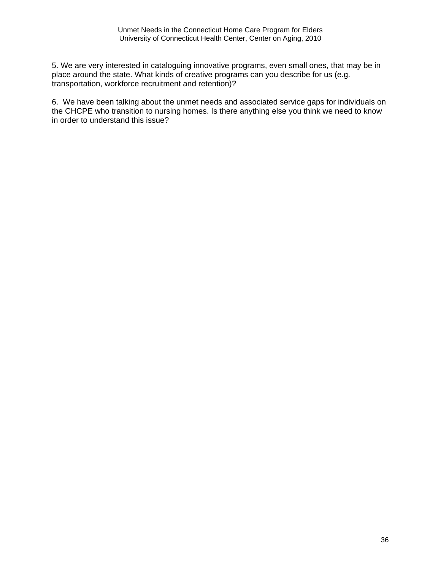5. We are very interested in cataloguing innovative programs, even small ones, that may be in place around the state. What kinds of creative programs can you describe for us (e.g. transportation, workforce recruitment and retention)?

6. We have been talking about the unmet needs and associated service gaps for individuals on the CHCPE who transition to nursing homes. Is there anything else you think we need to know in order to understand this issue?